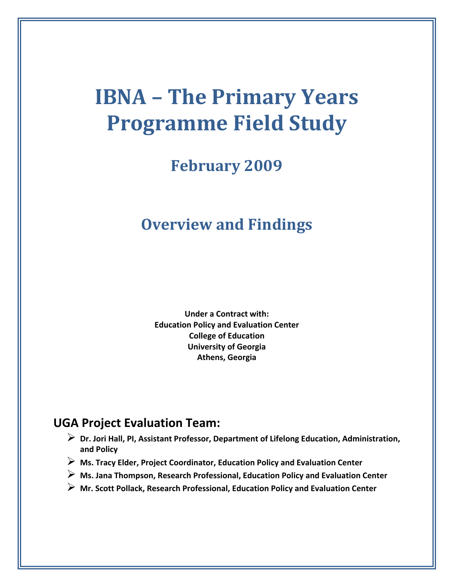# **IBNA – The Primary Years Programme Field Study**

**February 2009**

# **Overview and Findings**

**Under a Contract with: Education Policy and Evaluation Center College of Education University of Georgia Athens, Georgia**

# **UGA Project Evaluation Team:**

- ¾ **Dr. Jori Hall, PI, Assistant Professor, Department of Lifelong Education, Administration, and Policy**
- ¾ **Ms. Tracy Elder, Project Coordinator, Education Policy and Evaluation Center**
- ¾ **Ms. Jana Thompson, Research Professional, Education Policy and Evaluation Center**
- ¾ **Mr. Scott Pollack, Research Professional, Education Policy and Evaluation Center**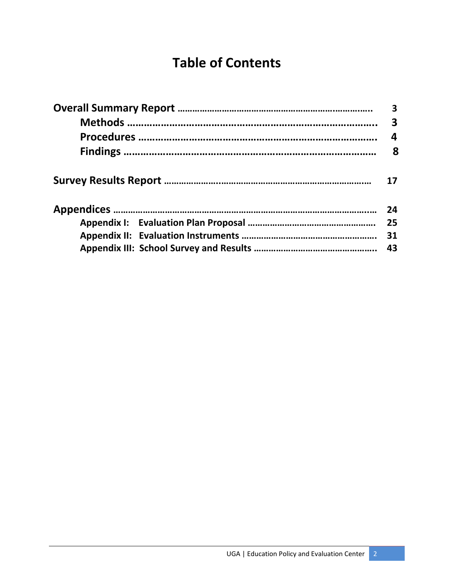# **Table of Contents**

| 3                       |
|-------------------------|
| $\overline{\mathbf{3}}$ |
| $\boldsymbol{4}$        |
| 8                       |
| 17                      |
| 24                      |
| 25                      |
| 31                      |
| 43                      |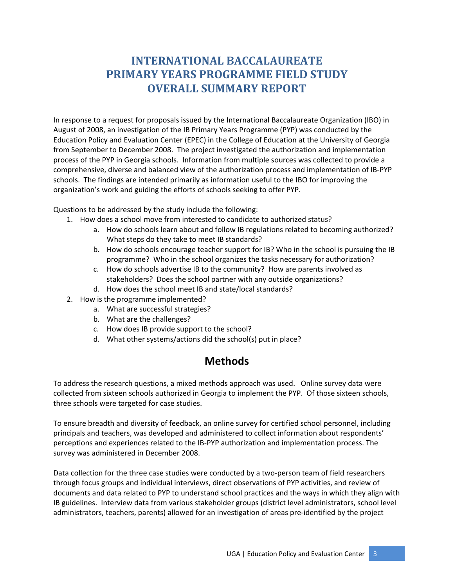# **INTERNATIONAL BACCALAUREATE PRIMARY YEARS PROGRAMME FIELD STUDY OVERALL SUMMARY REPORT**

In response to a request for proposals issued by the International Baccalaureate Organization (IBO) in August of 2008, an investigation of the IB Primary Years Programme (PYP) was conducted by the Education Policy and Evaluation Center (EPEC) in the College of Education at the University of Georgia from September to December 2008. The project investigated the authorization and implementation process of the PYP in Georgia schools. Information from multiple sources was collected to provide a comprehensive, diverse and balanced view of the authorization process and implementation of IB‐PYP schools. The findings are intended primarily as information useful to the IBO for improving the organization's work and guiding the efforts of schools seeking to offer PYP.

Questions to be addressed by the study include the following:

- 1. How does a school move from interested to candidate to authorized status?
	- a. How do schools learn about and follow IB regulations related to becoming authorized? What steps do they take to meet IB standards?
	- b. How do schools encourage teacher support for IB? Who in the school is pursuing the IB programme? Who in the school organizes the tasks necessary for authorization?
	- c. How do schools advertise IB to the community? How are parents involved as stakeholders? Does the school partner with any outside organizations?
	- d. How does the school meet IB and state/local standards?
- 2. How is the programme implemented?
	- a. What are successful strategies?
	- b. What are the challenges?
	- c. How does IB provide support to the school?
	- d. What other systems/actions did the school(s) put in place?

# **Methods**

To address the research questions, a mixed methods approach was used. Online survey data were collected from sixteen schools authorized in Georgia to implement the PYP. Of those sixteen schools, three schools were targeted for case studies.

To ensure breadth and diversity of feedback, an online survey for certified school personnel, including principals and teachers, was developed and administered to collect information about respondents' perceptions and experiences related to the IB‐PYP authorization and implementation process. The survey was administered in December 2008.

Data collection for the three case studies were conducted by a two-person team of field researchers through focus groups and individual interviews, direct observations of PYP activities, and review of documents and data related to PYP to understand school practices and the ways in which they align with IB guidelines. Interview data from various stakeholder groups (district level administrators, school level administrators, teachers, parents) allowed for an investigation of areas pre‐identified by the project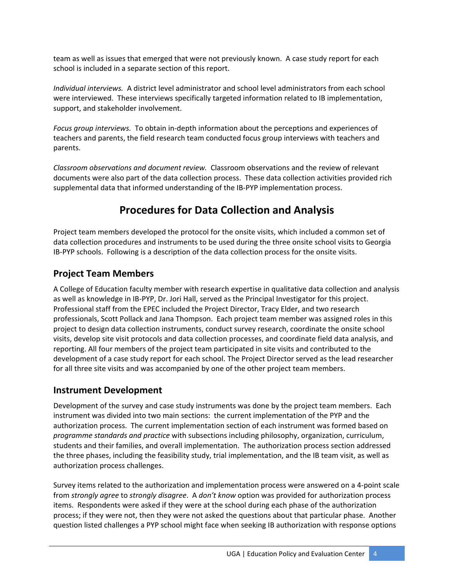team as well as issues that emerged that were not previously known. A case study report for each school is included in a separate section of this report.

*Individual interviews.* A district level administrator and school level administrators from each school were interviewed. These interviews specifically targeted information related to IB implementation, support, and stakeholder involvement.

*Focus group interviews.* To obtain in‐depth information about the perceptions and experiences of teachers and parents, the field research team conducted focus group interviews with teachers and parents.

*Classroom observations and document review.* Classroom observations and the review of relevant documents were also part of the data collection process. These data collection activities provided rich supplemental data that informed understanding of the IB‐PYP implementation process.

# **Procedures for Data Collection and Analysis**

Project team members developed the protocol for the onsite visits, which included a common set of data collection procedures and instruments to be used during the three onsite school visits to Georgia IB-PYP schools. Following is a description of the data collection process for the onsite visits.

# **Project Team Members**

A College of Education faculty member with research expertise in qualitative data collection and analysis as well as knowledge in IB‐PYP, Dr. Jori Hall, served as the Principal Investigator for this project. Professional staff from the EPEC included the Project Director, Tracy Elder, and two research professionals, Scott Pollack and Jana Thompson. Each project team member was assigned roles in this project to design data collection instruments, conduct survey research, coordinate the onsite school visits, develop site visit protocols and data collection processes, and coordinate field data analysis, and reporting. All four members of the project team participated in site visits and contributed to the development of a case study report for each school. The Project Director served as the lead researcher for all three site visits and was accompanied by one of the other project team members.

# **Instrument Development**

Development of the survey and case study instruments was done by the project team members. Each instrument was divided into two main sections: the current implementation of the PYP and the authorization process. The current implementation section of each instrument was formed based on *programme standards and practice* with subsections including philosophy, organization, curriculum, students and their families, and overall implementation. The authorization process section addressed the three phases, including the feasibility study, trial implementation, and the IB team visit, as well as authorization process challenges.

Survey items related to the authorization and implementation process were answered on a 4‐point scale from *strongly agree* to *strongly disagree*. A *don't know* option was provided for authorization process items. Respondents were asked if they were at the school during each phase of the authorization process; if they were not, then they were not asked the questions about that particular phase. Another question listed challenges a PYP school might face when seeking IB authorization with response options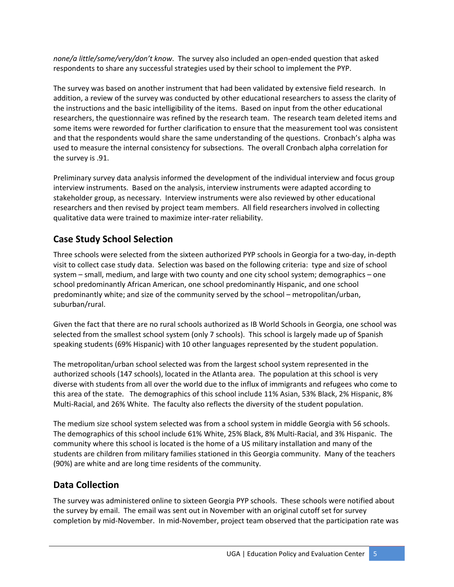*none/a little/some/very/don't know*. The survey also included an open‐ended question that asked respondents to share any successful strategies used by their school to implement the PYP.

The survey was based on another instrument that had been validated by extensive field research. In addition, a review of the survey was conducted by other educational researchers to assess the clarity of the instructions and the basic intelligibility of the items. Based on input from the other educational researchers, the questionnaire was refined by the research team. The research team deleted items and some items were reworded for further clarification to ensure that the measurement tool was consistent and that the respondents would share the same understanding of the questions. Cronbach's alpha was used to measure the internal consistency for subsections. The overall Cronbach alpha correlation for the survey is .91.

Preliminary survey data analysis informed the development of the individual interview and focus group interview instruments. Based on the analysis, interview instruments were adapted according to stakeholder group, as necessary. Interview instruments were also reviewed by other educational researchers and then revised by project team members. All field researchers involved in collecting qualitative data were trained to maximize inter‐rater reliability.

# **Case Study School Selection**

Three schools were selected from the sixteen authorized PYP schools in Georgia for a two-day, in-depth visit to collect case study data. Selection was based on the following criteria: type and size of school system – small, medium, and large with two county and one city school system; demographics – one school predominantly African American, one school predominantly Hispanic, and one school predominantly white; and size of the community served by the school – metropolitan/urban, suburban/rural.

Given the fact that there are no rural schools authorized as IB World Schools in Georgia, one school was selected from the smallest school system (only 7 schools). This school is largely made up of Spanish speaking students (69% Hispanic) with 10 other languages represented by the student population.

The metropolitan/urban school selected was from the largest school system represented in the authorized schools (147 schools), located in the Atlanta area. The population at this school is very diverse with students from all over the world due to the influx of immigrants and refugees who come to this area of the state. The demographics of this school include 11% Asian, 53% Black, 2% Hispanic, 8% Multi-Racial, and 26% White. The faculty also reflects the diversity of the student population.

The medium size school system selected was from a school system in middle Georgia with 56 schools. The demographics of this school include 61% White, 25% Black, 8% Multi‐Racial, and 3% Hispanic. The community where this school is located is the home of a US military installation and many of the students are children from military families stationed in this Georgia community. Many of the teachers (90%) are white and are long time residents of the community.

# **Data Collection**

The survey was administered online to sixteen Georgia PYP schools. These schools were notified about the survey by email. The email was sent out in November with an original cutoff set for survey completion by mid‐November. In mid‐November, project team observed that the participation rate was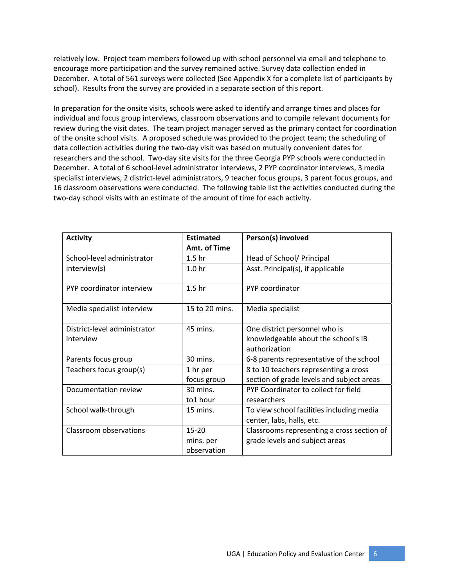relatively low. Project team members followed up with school personnel via email and telephone to encourage more participation and the survey remained active. Survey data collection ended in December. A total of 561 surveys were collected (See Appendix X for a complete list of participants by school). Results from the survey are provided in a separate section of this report.

In preparation for the onsite visits, schools were asked to identify and arrange times and places for individual and focus group interviews, classroom observations and to compile relevant documents for review during the visit dates. The team project manager served as the primary contact for coordination of the onsite school visits. A proposed schedule was provided to the project team; the scheduling of data collection activities during the two-day visit was based on mutually convenient dates for researchers and the school. Two-day site visits for the three Georgia PYP schools were conducted in December. A total of 6 school-level administrator interviews, 2 PYP coordinator interviews, 3 media specialist interviews, 2 district-level administrators, 9 teacher focus groups, 3 parent focus groups, and 16 classroom observations were conducted. The following table list the activities conducted during the two-day school visits with an estimate of the amount of time for each activity.

| <b>Activity</b>              | <b>Estimated</b>  | Person(s) involved                         |
|------------------------------|-------------------|--------------------------------------------|
|                              | Amt. of Time      |                                            |
| School-level administrator   | 1.5 <sub>hr</sub> | Head of School/ Principal                  |
| interview(s)                 | 1.0 <sub>hr</sub> | Asst. Principal(s), if applicable          |
| PYP coordinator interview    | 1.5 <sub>hr</sub> | PYP coordinator                            |
| Media specialist interview   | 15 to 20 mins.    | Media specialist                           |
| District-level administrator | 45 mins.          | One district personnel who is              |
| interview                    |                   | knowledgeable about the school's IB        |
|                              |                   | authorization                              |
| Parents focus group          | 30 mins.          | 6-8 parents representative of the school   |
| Teachers focus group(s)      | 1 hr per          | 8 to 10 teachers representing a cross      |
|                              | focus group       | section of grade levels and subject areas  |
| Documentation review         | 30 mins.          | PYP Coordinator to collect for field       |
|                              | to1 hour          | researchers                                |
| School walk-through          | 15 mins.          | To view school facilities including media  |
|                              |                   | center, labs, halls, etc.                  |
| Classroom observations       | $15 - 20$         | Classrooms representing a cross section of |
|                              | mins. per         | grade levels and subject areas             |
|                              | observation       |                                            |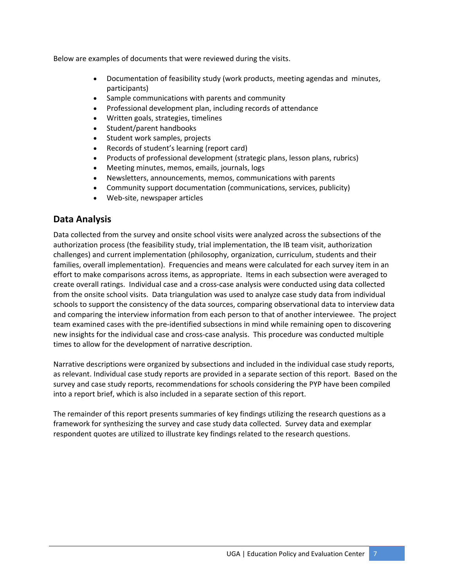Below are examples of documents that were reviewed during the visits.

- Documentation of feasibility study (work products, meeting agendas and minutes, participants)
- Sample communications with parents and community
- Professional development plan, including records of attendance
- Written goals, strategies, timelines
- Student/parent handbooks
- Student work samples, projects
- Records of student's learning (report card)
- Products of professional development (strategic plans, lesson plans, rubrics)
- Meeting minutes, memos, emails, journals, logs
- Newsletters, announcements, memos, communications with parents
- Community support documentation (communications, services, publicity)
- Web-site, newspaper articles

# **Data Analysis**

Data collected from the survey and onsite school visits were analyzed across the subsections of the authorization process (the feasibility study, trial implementation, the IB team visit, authorization challenges) and current implementation (philosophy, organization, curriculum, students and their families, overall implementation). Frequencies and means were calculated for each survey item in an effort to make comparisons across items, as appropriate. Items in each subsection were averaged to create overall ratings. Individual case and a cross‐case analysis were conducted using data collected from the onsite school visits. Data triangulation was used to analyze case study data from individual schools to support the consistency of the data sources, comparing observational data to interview data and comparing the interview information from each person to that of another interviewee. The project team examined cases with the pre‐identified subsections in mind while remaining open to discovering new insights for the individual case and cross‐case analysis. This procedure was conducted multiple times to allow for the development of narrative description.

Narrative descriptions were organized by subsections and included in the individual case study reports, as relevant. Individual case study reports are provided in a separate section of this report. Based on the survey and case study reports, recommendations for schools considering the PYP have been compiled into a report brief, which is also included in a separate section of this report.

The remainder of this report presents summaries of key findings utilizing the research questions as a framework for synthesizing the survey and case study data collected. Survey data and exemplar respondent quotes are utilized to illustrate key findings related to the research questions.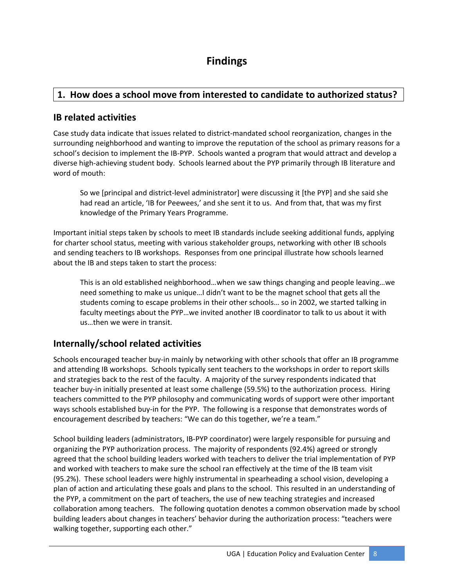# **Findings**

# **1. How does a school move from interested to candidate to authorized status?**

### **IB related activities**

Case study data indicate that issues related to district‐mandated school reorganization, changes in the surrounding neighborhood and wanting to improve the reputation of the school as primary reasons for a school's decision to implement the IB-PYP. Schools wanted a program that would attract and develop a diverse high-achieving student body. Schools learned about the PYP primarily through IB literature and word of mouth:

So we [principal and district-level administrator] were discussing it [the PYP] and she said she had read an article, 'IB for Peewees,' and she sent it to us. And from that, that was my first knowledge of the Primary Years Programme.

Important initial steps taken by schools to meet IB standards include seeking additional funds, applying for charter school status, meeting with various stakeholder groups, networking with other IB schools and sending teachers to IB workshops. Responses from one principal illustrate how schools learned about the IB and steps taken to start the process:

This is an old established neighborhood…when we saw things changing and people leaving…we need something to make us unique…I didn't want to be the magnet school that gets all the students coming to escape problems in their other schools… so in 2002, we started talking in faculty meetings about the PYP…we invited another IB coordinator to talk to us about it with us…then we were in transit.

## **Internally/school related activities**

Schools encouraged teacher buy‐in mainly by networking with other schools that offer an IB programme and attending IB workshops. Schools typically sent teachers to the workshops in order to report skills and strategies back to the rest of the faculty. A majority of the survey respondents indicated that teacher buy‐in initially presented at least some challenge (59.5%) to the authorization process. Hiring teachers committed to the PYP philosophy and communicating words of support were other important ways schools established buy-in for the PYP. The following is a response that demonstrates words of encouragement described by teachers: "We can do this together, we're a team."

School building leaders (administrators, IB‐PYP coordinator) were largely responsible for pursuing and organizing the PYP authorization process. The majority of respondents (92.4%) agreed or strongly agreed that the school building leaders worked with teachers to deliver the trial implementation of PYP and worked with teachers to make sure the school ran effectively at the time of the IB team visit (95.2%). These school leaders were highly instrumental in spearheading a school vision, developing a plan of action and articulating these goals and plans to the school. This resulted in an understanding of the PYP, a commitment on the part of teachers, the use of new teaching strategies and increased collaboration among teachers. The following quotation denotes a common observation made by school building leaders about changes in teachers' behavior during the authorization process: "teachers were walking together, supporting each other."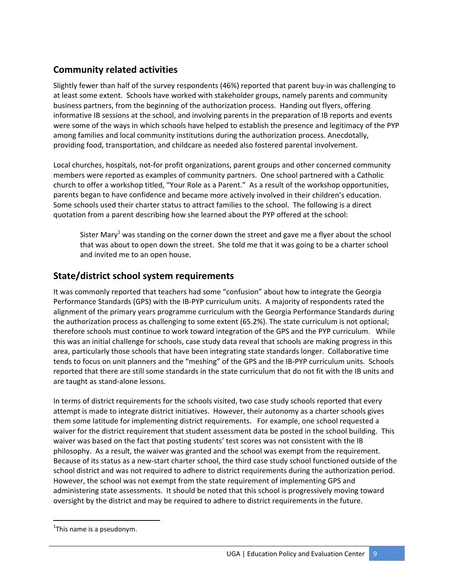# **Community related activities**

Slightly fewer than half of the survey respondents (46%) reported that parent buy‐in was challenging to at least some extent. Schools have worked with stakeholder groups, namely parents and community business partners, from the beginning of the authorization process. Handing out flyers, offering informative IB sessions at the school, and involving parents in the preparation of IB reports and events were some of the ways in which schools have helped to establish the presence and legitimacy of the PYP among families and local community institutions during the authorization process. Anecdotally, providing food, transportation, and childcare as needed also fostered parental involvement.

Local churches, hospitals, not‐for profit organizations, parent groups and other concerned community members were reported as examples of community partners. One school partnered with a Catholic church to offer a workshop titled, "Your Role as a Parent." As a result of the workshop opportunities, parents began to have confidence and became more actively involved in their children's education. Some schools used their charter status to attract families to the school. The following is a direct quotation from a parent describing how she learned about the PYP offered at the school:

Sister Mary<sup>1</sup> was standing on the corner down the street and gave me a flyer about the school that was about to open down the street. She told me that it was going to be a charter school and invited me to an open house.

# **State/district school system requirements**

It was commonly reported that teachers had some "confusion" about how to integrate the Georgia Performance Standards (GPS) with the IB‐PYP curriculum units. A majority of respondents rated the alignment of the primary years programme curriculum with the Georgia Performance Standards during the authorization process as challenging to some extent (65.2%). The state curriculum is not optional; therefore schools must continue to work toward integration of the GPS and the PYP curriculum. While this was an initial challenge for schools, case study data reveal that schools are making progress in this area, particularly those schools that have been integrating state standards longer. Collaborative time tends to focus on unit planners and the "meshing" of the GPS and the IB‐PYP curriculum units. Schools reported that there are still some standards in the state curriculum that do not fit with the IB units and are taught as stand‐alone lessons.

In terms of district requirements for the schools visited, two case study schools reported that every attempt is made to integrate district initiatives. However, their autonomy as a charter schools gives them some latitude for implementing district requirements. For example, one school requested a waiver for the district requirement that student assessment data be posted in the school building. This waiver was based on the fact that posting students' test scores was not consistent with the IB philosophy. As a result, the waiver was granted and the school was exempt from the requirement. Because of its status as a new‐start charter school, the third case study school functioned outside of the school district and was not required to adhere to district requirements during the authorization period. However, the school was not exempt from the state requirement of implementing GPS and administering state assessments. It should be noted that this school is progressively moving toward oversight by the district and may be required to adhere to district requirements in the future.

 $\overline{a}$ 

<sup>&</sup>lt;sup>1</sup>This name is a pseudonym.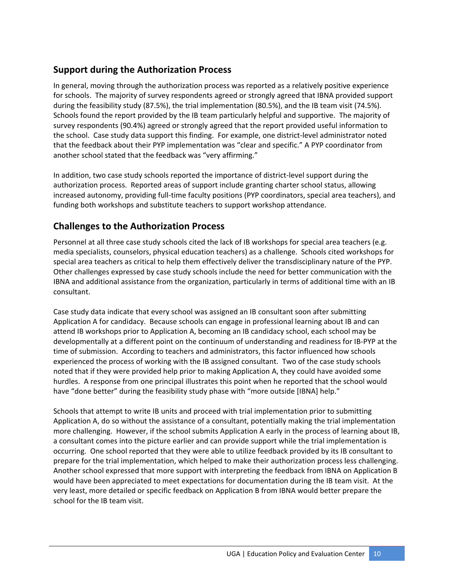# **Support during the Authorization Process**

In general, moving through the authorization process was reported as a relatively positive experience for schools. The majority of survey respondents agreed or strongly agreed that IBNA provided support during the feasibility study (87.5%), the trial implementation (80.5%), and the IB team visit (74.5%). Schools found the report provided by the IB team particularly helpful and supportive. The majority of survey respondents (90.4%) agreed or strongly agreed that the report provided useful information to the school. Case study data support this finding. For example, one district‐level administrator noted that the feedback about their PYP implementation was "clear and specific." A PYP coordinator from another school stated that the feedback was "very affirming."

In addition, two case study schools reported the importance of district-level support during the authorization process. Reported areas of support include granting charter school status, allowing increased autonomy, providing full-time faculty positions (PYP coordinators, special area teachers), and funding both workshops and substitute teachers to support workshop attendance.

# **Challenges to the Authorization Process**

Personnel at all three case study schools cited the lack of IB workshops for special area teachers (e.g. media specialists, counselors, physical education teachers) as a challenge. Schools cited workshops for special area teachers as critical to help them effectively deliver the transdisciplinary nature of the PYP. Other challenges expressed by case study schools include the need for better communication with the IBNA and additional assistance from the organization, particularly in terms of additional time with an IB consultant.

Case study data indicate that every school was assigned an IB consultant soon after submitting Application A for candidacy. Because schools can engage in professional learning about IB and can attend IB workshops prior to Application A, becoming an IB candidacy school, each school may be developmentally at a different point on the continuum of understanding and readiness for IB‐PYP at the time of submission. According to teachers and administrators, this factor influenced how schools experienced the process of working with the IB assigned consultant. Two of the case study schools noted that if they were provided help prior to making Application A, they could have avoided some hurdles. A response from one principal illustrates this point when he reported that the school would have "done better" during the feasibility study phase with "more outside [IBNA] help."

Schools that attempt to write IB units and proceed with trial implementation prior to submitting Application A, do so without the assistance of a consultant, potentially making the trial implementation more challenging. However, if the school submits Application A early in the process of learning about IB, a consultant comes into the picture earlier and can provide support while the trial implementation is occurring. One school reported that they were able to utilize feedback provided by its IB consultant to prepare for the trial implementation, which helped to make their authorization process less challenging. Another school expressed that more support with interpreting the feedback from IBNA on Application B would have been appreciated to meet expectations for documentation during the IB team visit. At the very least, more detailed or specific feedback on Application B from IBNA would better prepare the school for the IB team visit.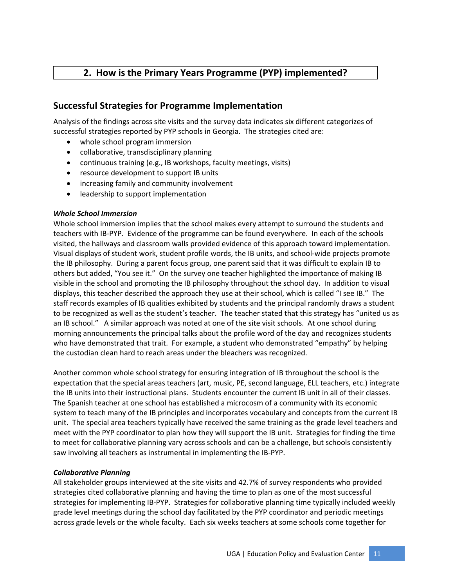# **2. How is the Primary Years Programme (PYP) implemented?**

# **Successful Strategies for Programme Implementation**

Analysis of the findings across site visits and the survey data indicates six different categorizes of successful strategies reported by PYP schools in Georgia. The strategies cited are:

- whole school program immersion
- collaborative, transdisciplinary planning
- continuous training (e.g., IB workshops, faculty meetings, visits)
- resource development to support IB units
- increasing family and community involvement
- leadership to support implementation

#### *Whole School Immersion*

Whole school immersion implies that the school makes every attempt to surround the students and teachers with IB‐PYP. Evidence of the programme can be found everywhere. In each of the schools visited, the hallways and classroom walls provided evidence of this approach toward implementation. Visual displays of student work, student profile words, the IB units, and school‐wide projects promote the IB philosophy. During a parent focus group, one parent said that it was difficult to explain IB to others but added, "You see it." On the survey one teacher highlighted the importance of making IB visible in the school and promoting the IB philosophy throughout the school day. In addition to visual displays, this teacher described the approach they use at their school, which is called "I see IB." The staff records examples of IB qualities exhibited by students and the principal randomly draws a student to be recognized as well as the student's teacher. The teacher stated that this strategy has "united us as an IB school." A similar approach was noted at one of the site visit schools. At one school during morning announcements the principal talks about the profile word of the day and recognizes students who have demonstrated that trait. For example, a student who demonstrated "empathy" by helping the custodian clean hard to reach areas under the bleachers was recognized.

Another common whole school strategy for ensuring integration of IB throughout the school is the expectation that the special areas teachers (art, music, PE, second language, ELL teachers, etc.) integrate the IB units into their instructional plans. Students encounter the current IB unit in all of their classes. The Spanish teacher at one school has established a microcosm of a community with its economic system to teach many of the IB principles and incorporates vocabulary and concepts from the current IB unit. The special area teachers typically have received the same training as the grade level teachers and meet with the PYP coordinator to plan how they will support the IB unit. Strategies for finding the time to meet for collaborative planning vary across schools and can be a challenge, but schools consistently saw involving all teachers as instrumental in implementing the IB‐PYP.

#### *Collaborative Planning*

All stakeholder groups interviewed at the site visits and 42.7% of survey respondents who provided strategies cited collaborative planning and having the time to plan as one of the most successful strategies for implementing IB‐PYP. Strategies for collaborative planning time typically included weekly grade level meetings during the school day facilitated by the PYP coordinator and periodic meetings across grade levels or the whole faculty. Each six weeks teachers at some schools come together for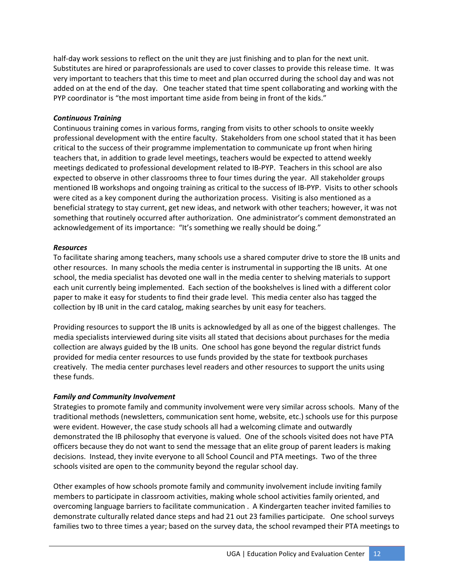half-day work sessions to reflect on the unit they are just finishing and to plan for the next unit. Substitutes are hired or paraprofessionals are used to cover classes to provide this release time. It was very important to teachers that this time to meet and plan occurred during the school day and was not added on at the end of the day. One teacher stated that time spent collaborating and working with the PYP coordinator is "the most important time aside from being in front of the kids."

#### *Continuous Training*

Continuous training comes in various forms, ranging from visits to other schools to onsite weekly professional development with the entire faculty. Stakeholders from one school stated that it has been critical to the success of their programme implementation to communicate up front when hiring teachers that, in addition to grade level meetings, teachers would be expected to attend weekly meetings dedicated to professional development related to IB‐PYP. Teachers in this school are also expected to observe in other classrooms three to four times during the year. All stakeholder groups mentioned IB workshops and ongoing training as critical to the success of IB‐PYP. Visits to other schools were cited as a key component during the authorization process. Visiting is also mentioned as a beneficial strategy to stay current, get new ideas, and network with other teachers; however, it was not something that routinely occurred after authorization. One administrator's comment demonstrated an acknowledgement of its importance: "It's something we really should be doing."

#### *Resources*

To facilitate sharing among teachers, many schools use a shared computer drive to store the IB units and other resources. In many schools the media center is instrumental in supporting the IB units. At one school, the media specialist has devoted one wall in the media center to shelving materials to support each unit currently being implemented. Each section of the bookshelves is lined with a different color paper to make it easy for students to find their grade level. This media center also has tagged the collection by IB unit in the card catalog, making searches by unit easy for teachers.

Providing resources to support the IB units is acknowledged by all as one of the biggest challenges. The media specialists interviewed during site visits all stated that decisions about purchases for the media collection are always guided by the IB units. One school has gone beyond the regular district funds provided for media center resources to use funds provided by the state for textbook purchases creatively. The media center purchases level readers and other resources to support the units using these funds.

#### *Family and Community Involvement*

Strategies to promote family and community involvement were very similar across schools. Many of the traditional methods (newsletters, communication sent home, website, etc.) schools use for this purpose were evident. However, the case study schools all had a welcoming climate and outwardly demonstrated the IB philosophy that everyone is valued. One of the schools visited does not have PTA officers because they do not want to send the message that an elite group of parent leaders is making decisions. Instead, they invite everyone to all School Council and PTA meetings. Two of the three schools visited are open to the community beyond the regular school day.

Other examples of how schools promote family and community involvement include inviting family members to participate in classroom activities, making whole school activities family oriented, and overcoming language barriers to facilitate communication . A Kindergarten teacher invited families to demonstrate culturally related dance steps and had 21 out 23 families participate. One school surveys families two to three times a year; based on the survey data, the school revamped their PTA meetings to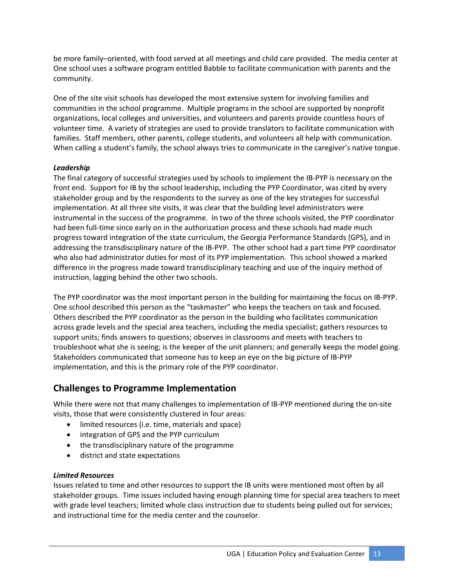be more family–oriented, with food served at all meetings and child care provided. The media center at One school uses a software program entitled Babble to facilitate communication with parents and the community.

One of the site visit schools has developed the most extensive system for involving families and communities in the school programme. Multiple programs in the school are supported by nonprofit organizations, local colleges and universities, and volunteers and parents provide countless hours of volunteer time. A variety of strategies are used to provide translators to facilitate communication with families. Staff members, other parents, college students, and volunteers all help with communication. When calling a student's family, the school always tries to communicate in the caregiver's native tongue.

#### *Leadership*

The final category of successful strategies used by schools to implement the IB‐PYP is necessary on the front end. Support for IB by the school leadership, including the PYP Coordinator, was cited by every stakeholder group and by the respondents to the survey as one of the key strategies for successful implementation. At all three site visits, it was clear that the building level administrators were instrumental in the success of the programme. In two of the three schools visited, the PYP coordinator had been full-time since early on in the authorization process and these schools had made much progress toward integration of the state curriculum, the Georgia Performance Standards (GPS), and in addressing the transdisciplinary nature of the IB‐PYP. The other school had a part time PYP coordinator who also had administrator duties for most of its PYP implementation. This school showed a marked difference in the progress made toward transdisciplinary teaching and use of the inquiry method of instruction, lagging behind the other two schools.

The PYP coordinator was the most important person in the building for maintaining the focus on IB‐PYP. One school described this person as the "taskmaster" who keeps the teachers on task and focused. Others described the PYP coordinator as the person in the building who facilitates communication across grade levels and the special area teachers, including the media specialist; gathers resources to support units; finds answers to questions; observes in classrooms and meets with teachers to troubleshoot what she is seeing; is the keeper of the unit planners; and generally keeps the model going. Stakeholders communicated that someone has to keep an eye on the big picture of IB‐PYP implementation, and this is the primary role of the PYP coordinator.

# **Challenges to Programme Implementation**

While there were not that many challenges to implementation of IB-PYP mentioned during the on-site visits, those that were consistently clustered in four areas:

- limited resources (i.e. time, materials and space)
- integration of GPS and the PYP curriculum
- the transdisciplinary nature of the programme
- district and state expectations

#### *Limited Resources*

Issues related to time and other resources to support the IB units were mentioned most often by all stakeholder groups. Time issues included having enough planning time for special area teachers to meet with grade level teachers; limited whole class instruction due to students being pulled out for services; and instructional time for the media center and the counselor.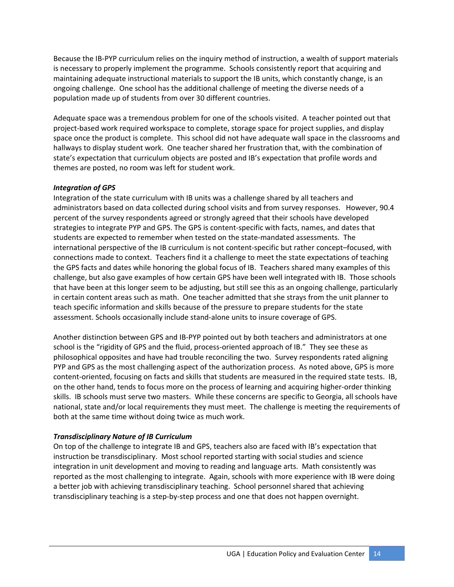Because the IB‐PYP curriculum relies on the inquiry method of instruction, a wealth of support materials is necessary to properly implement the programme. Schools consistently report that acquiring and maintaining adequate instructional materials to support the IB units, which constantly change, is an ongoing challenge. One school has the additional challenge of meeting the diverse needs of a population made up of students from over 30 different countries.

Adequate space was a tremendous problem for one of the schools visited. A teacher pointed out that project‐based work required workspace to complete, storage space for project supplies, and display space once the product is complete. This school did not have adequate wall space in the classrooms and hallways to display student work. One teacher shared her frustration that, with the combination of state's expectation that curriculum objects are posted and IB's expectation that profile words and themes are posted, no room was left for student work.

#### *Integration of GPS*

Integration of the state curriculum with IB units was a challenge shared by all teachers and administrators based on data collected during school visits and from survey responses. However, 90.4 percent of the survey respondents agreed or strongly agreed that their schools have developed strategies to integrate PYP and GPS. The GPS is content‐specific with facts, names, and dates that students are expected to remember when tested on the state‐mandated assessments. The international perspective of the IB curriculum is not content‐specific but rather concept–focused, with connections made to context. Teachers find it a challenge to meet the state expectations of teaching the GPS facts and dates while honoring the global focus of IB. Teachers shared many examples of this challenge, but also gave examples of how certain GPS have been well integrated with IB. Those schools that have been at this longer seem to be adjusting, but still see this as an ongoing challenge, particularly in certain content areas such as math. One teacher admitted that she strays from the unit planner to teach specific information and skills because of the pressure to prepare students for the state assessment. Schools occasionally include stand‐alone units to insure coverage of GPS.

Another distinction between GPS and IB‐PYP pointed out by both teachers and administrators at one school is the "rigidity of GPS and the fluid, process-oriented approach of IB." They see these as philosophical opposites and have had trouble reconciling the two. Survey respondents rated aligning PYP and GPS as the most challenging aspect of the authorization process. As noted above, GPS is more content‐oriented, focusing on facts and skills that students are measured in the required state tests. IB, on the other hand, tends to focus more on the process of learning and acquiring higher‐order thinking skills. IB schools must serve two masters. While these concerns are specific to Georgia, all schools have national, state and/or local requirements they must meet. The challenge is meeting the requirements of both at the same time without doing twice as much work.

#### *Transdisciplinary Nature of IB Curriculum*

On top of the challenge to integrate IB and GPS, teachers also are faced with IB's expectation that instruction be transdisciplinary. Most school reported starting with social studies and science integration in unit development and moving to reading and language arts. Math consistently was reported as the most challenging to integrate. Again, schools with more experience with IB were doing a better job with achieving transdisciplinary teaching. School personnel shared that achieving transdisciplinary teaching is a step‐by‐step process and one that does not happen overnight.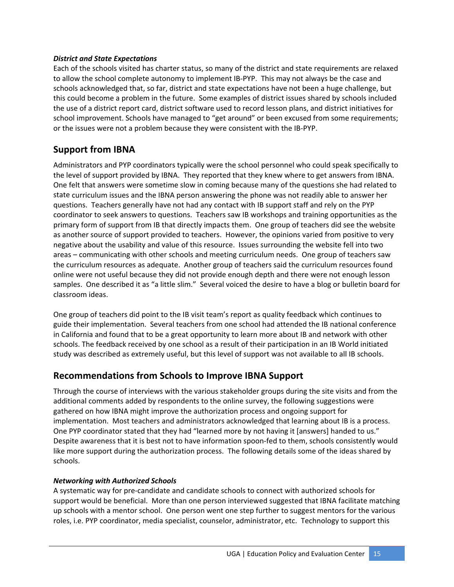#### *District and State Expectations*

Each of the schools visited has charter status, so many of the district and state requirements are relaxed to allow the school complete autonomy to implement IB‐PYP. This may not always be the case and schools acknowledged that, so far, district and state expectations have not been a huge challenge, but this could become a problem in the future. Some examples of district issues shared by schools included the use of a district report card, district software used to record lesson plans, and district initiatives for school improvement. Schools have managed to "get around" or been excused from some requirements; or the issues were not a problem because they were consistent with the IB‐PYP.

# **Support from IBNA**

Administrators and PYP coordinators typically were the school personnel who could speak specifically to the level of support provided by IBNA. They reported that they knew where to get answers from IBNA. One felt that answers were sometime slow in coming because many of the questions she had related to state curriculum issues and the IBNA person answering the phone was not readily able to answer her questions. Teachers generally have not had any contact with IB support staff and rely on the PYP coordinator to seek answers to questions. Teachers saw IB workshops and training opportunities as the primary form of support from IB that directly impacts them. One group of teachers did see the website as another source of support provided to teachers. However, the opinions varied from positive to very negative about the usability and value of this resource. Issues surrounding the website fell into two areas – communicating with other schools and meeting curriculum needs. One group of teachers saw the curriculum resources as adequate. Another group of teachers said the curriculum resources found online were not useful because they did not provide enough depth and there were not enough lesson samples. One described it as "a little slim." Several voiced the desire to have a blog or bulletin board for classroom ideas.

One group of teachers did point to the IB visit team's report as quality feedback which continues to guide their implementation. Several teachers from one school had attended the IB national conference in California and found that to be a great opportunity to learn more about IB and network with other schools. The feedback received by one school as a result of their participation in an IB World initiated study was described as extremely useful, but this level of support was not available to all IB schools.

## **Recommendations from Schools to Improve IBNA Support**

Through the course of interviews with the various stakeholder groups during the site visits and from the additional comments added by respondents to the online survey, the following suggestions were gathered on how IBNA might improve the authorization process and ongoing support for implementation. Most teachers and administrators acknowledged that learning about IB is a process. One PYP coordinator stated that they had "learned more by not having it [answers] handed to us." Despite awareness that it is best not to have information spoon‐fed to them, schools consistently would like more support during the authorization process. The following details some of the ideas shared by schools.

#### *Networking with Authorized Schools*

A systematic way for pre‐candidate and candidate schools to connect with authorized schools for support would be beneficial. More than one person interviewed suggested that IBNA facilitate matching up schools with a mentor school. One person went one step further to suggest mentors for the various roles, i.e. PYP coordinator, media specialist, counselor, administrator, etc. Technology to support this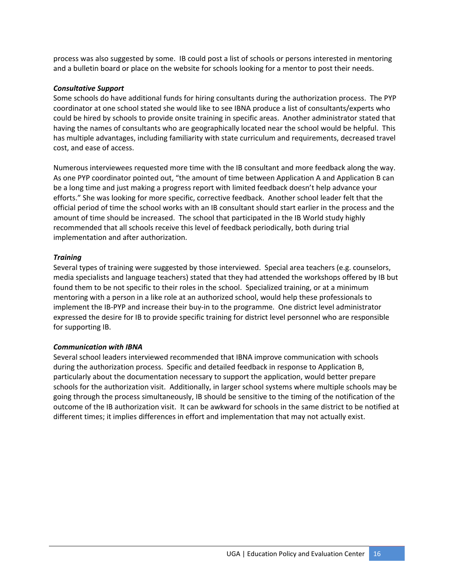process was also suggested by some. IB could post a list of schools or persons interested in mentoring and a bulletin board or place on the website for schools looking for a mentor to post their needs.

#### *Consultative Support*

Some schools do have additional funds for hiring consultants during the authorization process. The PYP coordinator at one school stated she would like to see IBNA produce a list of consultants/experts who could be hired by schools to provide onsite training in specific areas. Another administrator stated that having the names of consultants who are geographically located near the school would be helpful. This has multiple advantages, including familiarity with state curriculum and requirements, decreased travel cost, and ease of access.

Numerous interviewees requested more time with the IB consultant and more feedback along the way. As one PYP coordinator pointed out, "the amount of time between Application A and Application B can be a long time and just making a progress report with limited feedback doesn't help advance your efforts." She was looking for more specific, corrective feedback. Another school leader felt that the official period of time the school works with an IB consultant should start earlier in the process and the amount of time should be increased. The school that participated in the IB World study highly recommended that all schools receive this level of feedback periodically, both during trial implementation and after authorization.

#### *Training*

Several types of training were suggested by those interviewed. Special area teachers (e.g. counselors, media specialists and language teachers) stated that they had attended the workshops offered by IB but found them to be not specific to their roles in the school. Specialized training, or at a minimum mentoring with a person in a like role at an authorized school, would help these professionals to implement the IB‐PYP and increase their buy‐in to the programme. One district level administrator expressed the desire for IB to provide specific training for district level personnel who are responsible for supporting IB.

#### *Communication with IBNA*

Several school leaders interviewed recommended that IBNA improve communication with schools during the authorization process. Specific and detailed feedback in response to Application B, particularly about the documentation necessary to support the application, would better prepare schools for the authorization visit. Additionally, in larger school systems where multiple schools may be going through the process simultaneously, IB should be sensitive to the timing of the notification of the outcome of the IB authorization visit. It can be awkward for schools in the same district to be notified at different times; it implies differences in effort and implementation that may not actually exist.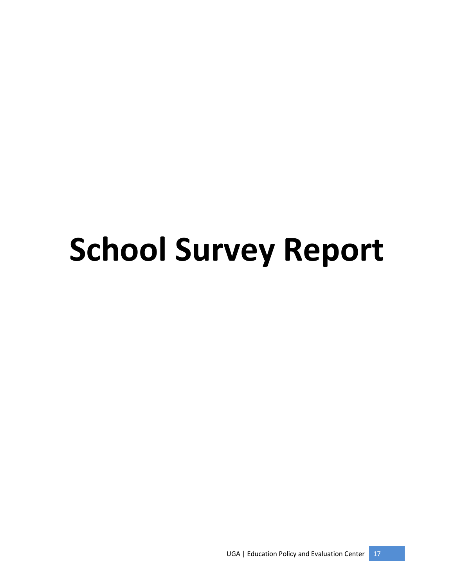# **School Survey Report**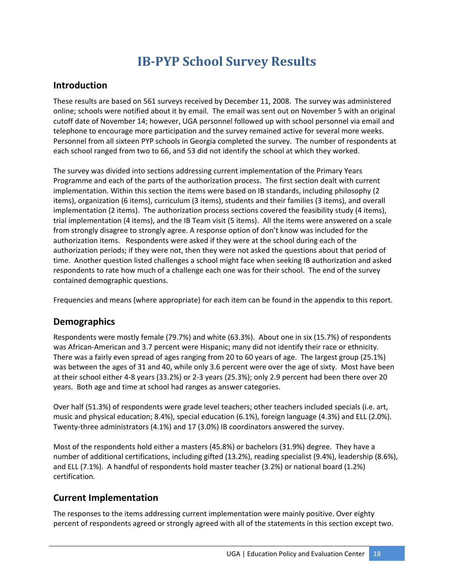# **IBPYP School Survey Results**

# **Introduction**

These results are based on 561 surveys received by December 11, 2008. The survey was administered online; schools were notified about it by email. The email was sent out on November 5 with an original cutoff date of November 14; however, UGA personnel followed up with school personnel via email and telephone to encourage more participation and the survey remained active for several more weeks. Personnel from all sixteen PYP schools in Georgia completed the survey. The number of respondents at each school ranged from two to 66, and 53 did not identify the school at which they worked.

The survey was divided into sections addressing current implementation of the Primary Years Programme and each of the parts of the authorization process. The first section dealt with current implementation. Within this section the items were based on IB standards, including philosophy (2 items), organization (6 items), curriculum (3 items), students and their families (3 items), and overall implementation (2 items). The authorization process sections covered the feasibility study (4 items), trial implementation (4 items), and the IB Team visit (5 items). All the items were answered on a scale from strongly disagree to strongly agree. A response option of don't know was included for the authorization items. Respondents were asked if they were at the school during each of the authorization periods; if they were not, then they were not asked the questions about that period of time. Another question listed challenges a school might face when seeking IB authorization and asked respondents to rate how much of a challenge each one was for their school. The end of the survey contained demographic questions.

Frequencies and means (where appropriate) for each item can be found in the appendix to this report.

# **Demographics**

Respondents were mostly female (79.7%) and white (63.3%). About one in six (15.7%) of respondents was African-American and 3.7 percent were Hispanic; many did not identify their race or ethnicity. There was a fairly even spread of ages ranging from 20 to 60 years of age. The largest group (25.1%) was between the ages of 31 and 40, while only 3.6 percent were over the age of sixty. Most have been at their school either 4‐8 years (33.2%) or 2‐3 years (25.3%); only 2.9 percent had been there over 20 years. Both age and time at school had ranges as answer categories.

Over half (51.3%) of respondents were grade level teachers; other teachers included specials (i.e. art, music and physical education; 8.4%), special education (6.1%), foreign language (4.3%) and ELL (2.0%). Twenty‐three administrators (4.1%) and 17 (3.0%) IB coordinators answered the survey.

Most of the respondents hold either a masters (45.8%) or bachelors (31.9%) degree. They have a number of additional certifications, including gifted (13.2%), reading specialist (9.4%), leadership (8.6%), and ELL (7.1%). A handful of respondents hold master teacher (3.2%) or national board (1.2%) certification.

# **Current Implementation**

The responses to the items addressing current implementation were mainly positive. Over eighty percent of respondents agreed or strongly agreed with all of the statements in this section except two.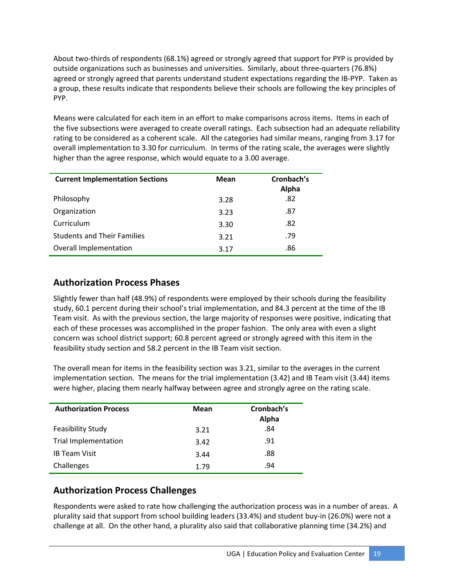About two‐thirds of respondents (68.1%) agreed or strongly agreed that support for PYP is provided by outside organizations such as businesses and universities. Similarly, about three‐quarters (76.8%) agreed or strongly agreed that parents understand student expectations regarding the IB‐PYP. Taken as a group, these results indicate that respondents believe their schools are following the key principles of PYP.

Means were calculated for each item in an effort to make comparisons across items. Items in each of the five subsections were averaged to create overall ratings. Each subsection had an adequate reliability rating to be considered as a coherent scale. All the categories had similar means, ranging from 3.17 for overall implementation to 3.30 for curriculum. In terms of the rating scale, the averages were slightly higher than the agree response, which would equate to a 3.00 average.

| <b>Current Implementation Sections</b> | Mean | Cronbach's<br>Alpha |
|----------------------------------------|------|---------------------|
| Philosophy                             | 3.28 | .82                 |
| Organization                           | 3.23 | .87                 |
| Curriculum                             | 3.30 | .82                 |
| <b>Students and Their Families</b>     | 3.21 | .79                 |
| <b>Overall Implementation</b>          | 3.17 | .86                 |

# **Authorization Process Phases**

Slightly fewer than half (48.9%) of respondents were employed by their schools during the feasibility study, 60.1 percent during their school's trial implementation, and 84.3 percent at the time of the IB Team visit. As with the previous section, the large majority of responses were positive, indicating that each of these processes was accomplished in the proper fashion. The only area with even a slight concern was school district support; 60.8 percent agreed or strongly agreed with this item in the feasibility study section and 58.2 percent in the IB Team visit section.

The overall mean for items in the feasibility section was 3.21, similar to the averages in the current implementation section. The means for the trial implementation (3.42) and IB Team visit (3.44) items were higher, placing them nearly halfway between agree and strongly agree on the rating scale.

| <b>Authorization Process</b> | Mean | Cronbach's<br>Alpha |
|------------------------------|------|---------------------|
| <b>Feasibility Study</b>     | 3.21 | .84                 |
| <b>Trial Implementation</b>  | 3.42 | .91                 |
| <b>IB Team Visit</b>         | 3.44 | .88                 |
| Challenges                   | 1.79 | .94                 |

# **Authorization Process Challenges**

Respondents were asked to rate how challenging the authorization process was in a number of areas. A plurality said that support from school building leaders (33.4%) and student buy‐in (26.0%) were not a challenge at all. On the other hand, a plurality also said that collaborative planning time (34.2%) and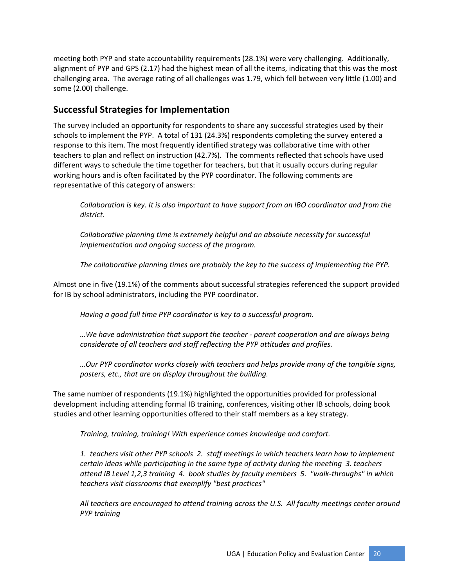meeting both PYP and state accountability requirements (28.1%) were very challenging. Additionally, alignment of PYP and GPS (2.17) had the highest mean of all the items, indicating that this was the most challenging area. The average rating of all challenges was 1.79, which fell between very little (1.00) and some (2.00) challenge.

# **Successful Strategies for Implementation**

The survey included an opportunity for respondents to share any successful strategies used by their schools to implement the PYP. A total of 131 (24.3%) respondents completing the survey entered a response to this item. The most frequently identified strategy was collaborative time with other teachers to plan and reflect on instruction (42.7%). The comments reflected that schools have used different ways to schedule the time together for teachers, but that it usually occurs during regular working hours and is often facilitated by the PYP coordinator. The following comments are representative of this category of answers:

*Collaboration is key. It is also important to have support from an IBO coordinator and from the district.*

*Collaborative planning time is extremely helpful and an absolute necessity for successful implementation and ongoing success of the program.*

*The collaborative planning times are probably the key to the success of implementing the PYP.*

Almost one in five (19.1%) of the comments about successful strategies referenced the support provided for IB by school administrators, including the PYP coordinator.

*Having a good full time PYP coordinator is key to a successful program.*

*…We have administration that support the teacher ‐ parent cooperation and are always being considerate of all teachers and staff reflecting the PYP attitudes and profiles.*

*…Our PYP coordinator works closely with teachers and helps provide many of the tangible signs, posters, etc., that are on display throughout the building.*

The same number of respondents (19.1%) highlighted the opportunities provided for professional development including attending formal IB training, conferences, visiting other IB schools, doing book studies and other learning opportunities offered to their staff members as a key strategy.

*Training, training, training! With experience comes knowledge and comfort.*

1. teachers visit other PYP schools 2. staff meetings in which teachers learn how to implement *certain ideas while participating in the same type of activity during the meeting 3. teachers* attend IB Level 1,2,3 training 4. book studies by faculty members 5. "walk-throughs" in which *teachers visit classrooms that exemplify "best practices"*

*All teachers are encouraged to attend training across the U.S. All faculty meetings center around PYP training*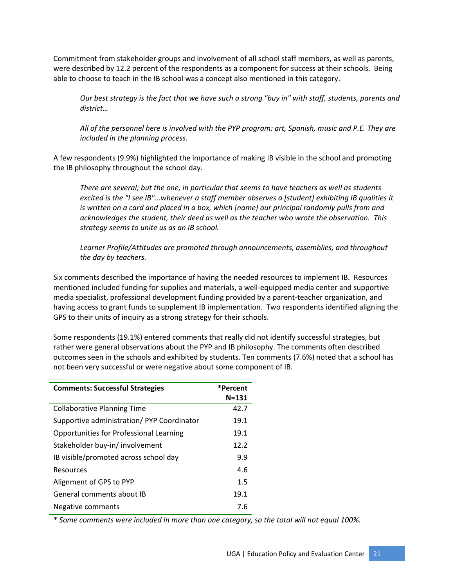Commitment from stakeholder groups and involvement of all school staff members, as well as parents, were described by 12.2 percent of the respondents as a component for success at their schools. Being able to choose to teach in the IB school was a concept also mentioned in this category.

Our best strategy is the fact that we have such a strong "buy in" with staff, students, parents and *district…*

*All of the personnel here is involved with the PYP program: art, Spanish, music and P.E. They are included in the planning process.*

A few respondents (9.9%) highlighted the importance of making IB visible in the school and promoting the IB philosophy throughout the school day.

*There are several; but the one, in particular that seems to have teachers as well as students excited is the "I see IB"...whenever a staff member observes a [student] exhibiting IB qualities it is written on a card and placed in a box, which [name] our principal randomly pulls from and acknowledges the student, their deed as well as the teacher who wrote the observation. This strategy seems to unite us as an IB school.*

*Learner Profile/Attitudes are promoted through announcements, assemblies, and throughout the day by teachers.*

Six comments described the importance of having the needed resources to implement IB. Resources mentioned included funding for supplies and materials, a well‐equipped media center and supportive media specialist, professional development funding provided by a parent‐teacher organization, and having access to grant funds to supplement IB implementation. Two respondents identified aligning the GPS to their units of inquiry as a strong strategy for their schools.

Some respondents (19.1%) entered comments that really did not identify successful strategies, but rather were general observations about the PYP and IB philosophy. The comments often described outcomes seen in the schools and exhibited by students. Ten comments (7.6%) noted that a school has not been very successful or were negative about some component of IB.

| <b>Comments: Successful Strategies</b>    | *Percent<br>$N = 131$ |
|-------------------------------------------|-----------------------|
| <b>Collaborative Planning Time</b>        | 42.7                  |
| Supportive administration/PYP Coordinator | 19.1                  |
| Opportunities for Professional Learning   | 19.1                  |
| Stakeholder buy-in/involvement            | 12.2                  |
| IB visible/promoted across school day     | 9.9                   |
| Resources                                 | 4.6                   |
| Alignment of GPS to PYP                   | 1.5                   |
| General comments about IB                 | 19.1                  |
| Negative comments                         | 7.6                   |

\* *Some comments were included in more than one category, so the total will not equal 100%.*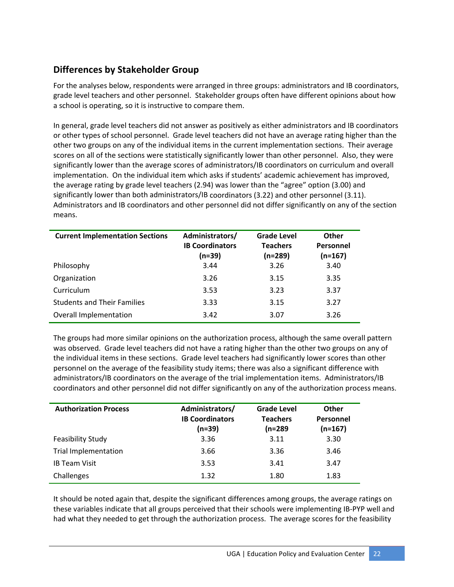# **Differences by Stakeholder Group**

For the analyses below, respondents were arranged in three groups: administrators and IB coordinators, grade level teachers and other personnel. Stakeholder groups often have different opinions about how a school is operating, so it is instructive to compare them.

In general, grade level teachers did not answer as positively as either administrators and IB coordinators or other types of school personnel. Grade level teachers did not have an average rating higher than the other two groups on any of the individual items in the current implementation sections. Their average scores on all of the sections were statistically significantly lower than other personnel. Also, they were significantly lower than the average scores of administrators/IB coordinators on curriculum and overall implementation. On the individual item which asks if students' academic achievement has improved, the average rating by grade level teachers (2.94) was lower than the "agree" option (3.00) and significantly lower than both administrators/IB coordinators (3.22) and other personnel (3.11). Administrators and IB coordinators and other personnel did not differ significantly on any of the section means.

| <b>Current Implementation Sections</b> | Administrators/<br><b>IB Coordinators</b><br>$(n=39)$ | <b>Grade Level</b><br><b>Teachers</b><br>$(n=289)$ | Other<br>Personnel<br>$(n=167)$ |
|----------------------------------------|-------------------------------------------------------|----------------------------------------------------|---------------------------------|
| Philosophy                             | 3.44                                                  | 3.26                                               | 3.40                            |
| Organization                           | 3.26                                                  | 3.15                                               | 3.35                            |
| Curriculum                             | 3.53                                                  | 3.23                                               | 3.37                            |
| <b>Students and Their Families</b>     | 3.33                                                  | 3.15                                               | 3.27                            |
| <b>Overall Implementation</b>          | 3.42                                                  | 3.07                                               | 3.26                            |

The groups had more similar opinions on the authorization process, although the same overall pattern was observed. Grade level teachers did not have a rating higher than the other two groups on any of the individual items in these sections. Grade level teachers had significantly lower scores than other personnel on the average of the feasibility study items; there was also a significant difference with administrators/IB coordinators on the average of the trial implementation items. Administrators/IB coordinators and other personnel did not differ significantly on any of the authorization process means.

| <b>Authorization Process</b> | Administrators/<br><b>IB Coordinators</b><br>$(n=39)$ | <b>Grade Level</b><br><b>Teachers</b><br>$(n=289)$ | <b>Other</b><br>Personnel<br>$(n=167)$ |
|------------------------------|-------------------------------------------------------|----------------------------------------------------|----------------------------------------|
| <b>Feasibility Study</b>     | 3.36                                                  | 3.11                                               | 3.30                                   |
| <b>Trial Implementation</b>  | 3.66                                                  | 3.36                                               | 3.46                                   |
| <b>IB Team Visit</b>         | 3.53                                                  | 3.41                                               | 3.47                                   |
| Challenges                   | 1.32                                                  | 1.80                                               | 1.83                                   |

It should be noted again that, despite the significant differences among groups, the average ratings on these variables indicate that all groups perceived that their schools were implementing IB‐PYP well and had what they needed to get through the authorization process. The average scores for the feasibility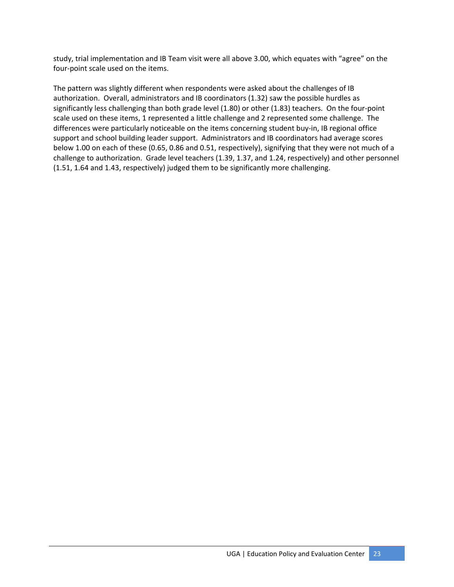study, trial implementation and IB Team visit were all above 3.00, which equates with "agree" on the four‐point scale used on the items.

The pattern was slightly different when respondents were asked about the challenges of IB authorization. Overall, administrators and IB coordinators (1.32) saw the possible hurdles as significantly less challenging than both grade level (1.80) or other (1.83) teachers. On the four-point scale used on these items, 1 represented a little challenge and 2 represented some challenge. The differences were particularly noticeable on the items concerning student buy‐in, IB regional office support and school building leader support. Administrators and IB coordinators had average scores below 1.00 on each of these (0.65, 0.86 and 0.51, respectively), signifying that they were not much of a challenge to authorization. Grade level teachers (1.39, 1.37, and 1.24, respectively) and other personnel (1.51, 1.64 and 1.43, respectively) judged them to be significantly more challenging.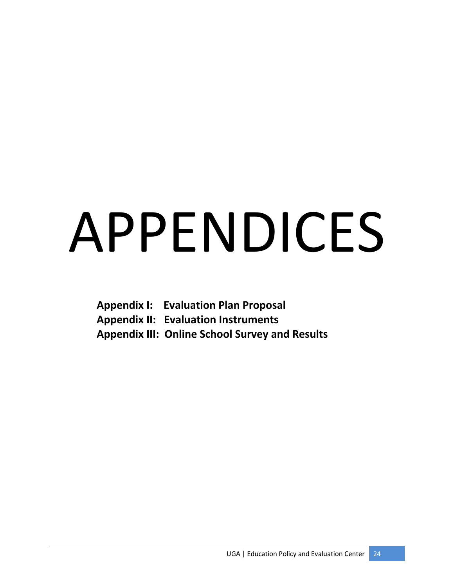# APPENDICES

**Appendix I: Evaluation Plan Proposal Appendix II: Evaluation Instruments Appendix III: Online School Survey and Results**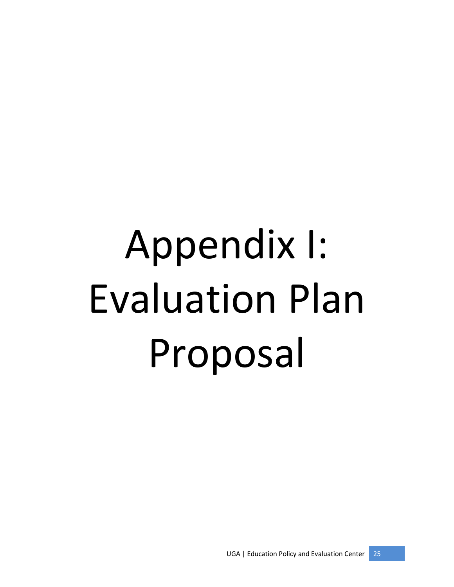# Appendix I: Evaluation Plan Proposal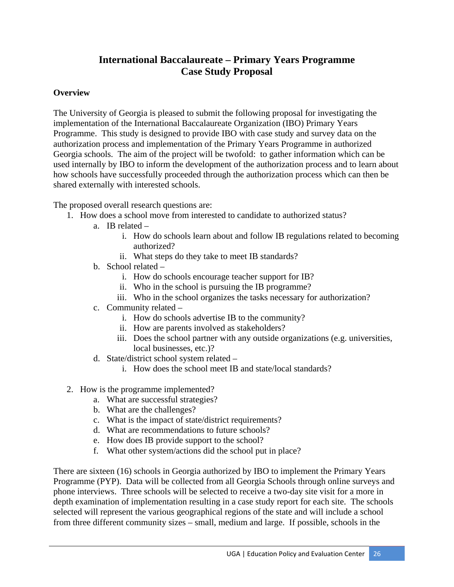# **International Baccalaureate – Primary Years Programme Case Study Proposal**

#### **Overview**

The University of Georgia is pleased to submit the following proposal for investigating the implementation of the International Baccalaureate Organization (IBO) Primary Years Programme. This study is designed to provide IBO with case study and survey data on the authorization process and implementation of the Primary Years Programme in authorized Georgia schools. The aim of the project will be twofold: to gather information which can be used internally by IBO to inform the development of the authorization process and to learn about how schools have successfully proceeded through the authorization process which can then be shared externally with interested schools.

The proposed overall research questions are:

- 1. How does a school move from interested to candidate to authorized status?
	- a. IB related
		- i. How do schools learn about and follow IB regulations related to becoming authorized?
		- ii. What steps do they take to meet IB standards?
	- b. School related
		- i. How do schools encourage teacher support for IB?
		- ii. Who in the school is pursuing the IB programme?
		- iii. Who in the school organizes the tasks necessary for authorization?
	- c. Community related
		- i. How do schools advertise IB to the community?
		- ii. How are parents involved as stakeholders?
		- iii. Does the school partner with any outside organizations (e.g. universities, local businesses, etc.)?
	- d. State/district school system related
		- i. How does the school meet IB and state/local standards?
- 2. How is the programme implemented?
	- a. What are successful strategies?
	- b. What are the challenges?
	- c. What is the impact of state/district requirements?
	- d. What are recommendations to future schools?
	- e. How does IB provide support to the school?
	- f. What other system/actions did the school put in place?

There are sixteen (16) schools in Georgia authorized by IBO to implement the Primary Years Programme (PYP). Data will be collected from all Georgia Schools through online surveys and phone interviews. Three schools will be selected to receive a two-day site visit for a more in depth examination of implementation resulting in a case study report for each site. The schools selected will represent the various geographical regions of the state and will include a school from three different community sizes – small, medium and large. If possible, schools in the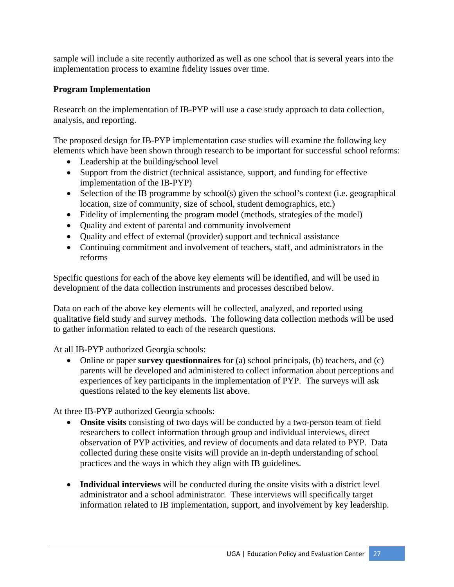sample will include a site recently authorized as well as one school that is several years into the implementation process to examine fidelity issues over time.

## **Program Implementation**

Research on the implementation of IB-PYP will use a case study approach to data collection, analysis, and reporting.

The proposed design for IB-PYP implementation case studies will examine the following key elements which have been shown through research to be important for successful school reforms:

- Leadership at the building/school level
- Support from the district (technical assistance, support, and funding for effective implementation of the IB-PYP)
- Selection of the IB programme by school(s) given the school's context (i.e. geographical location, size of community, size of school, student demographics, etc.)
- Fidelity of implementing the program model (methods, strategies of the model)
- Quality and extent of parental and community involvement
- Quality and effect of external (provider) support and technical assistance
- Continuing commitment and involvement of teachers, staff, and administrators in the reforms

Specific questions for each of the above key elements will be identified, and will be used in development of the data collection instruments and processes described below.

Data on each of the above key elements will be collected, analyzed, and reported using qualitative field study and survey methods. The following data collection methods will be used to gather information related to each of the research questions.

At all IB-PYP authorized Georgia schools:

• Online or paper **survey questionnaires** for (a) school principals, (b) teachers, and (c) parents will be developed and administered to collect information about perceptions and experiences of key participants in the implementation of PYP. The surveys will ask questions related to the key elements list above.

At three IB-PYP authorized Georgia schools:

- **Onsite visits** consisting of two days will be conducted by a two-person team of field researchers to collect information through group and individual interviews, direct observation of PYP activities, and review of documents and data related to PYP. Data collected during these onsite visits will provide an in-depth understanding of school practices and the ways in which they align with IB guidelines.
- **Individual interviews** will be conducted during the onsite visits with a district level administrator and a school administrator. These interviews will specifically target information related to IB implementation, support, and involvement by key leadership.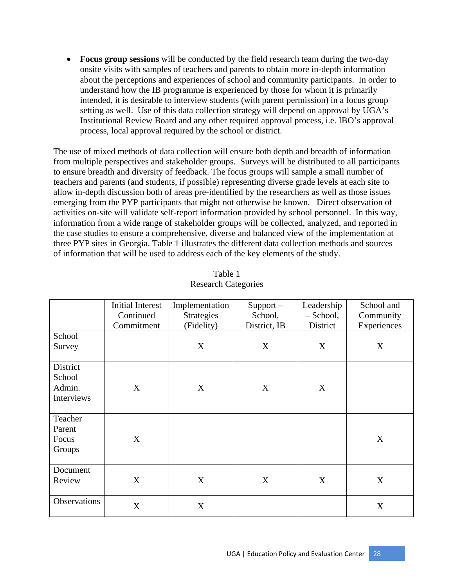• **Focus group sessions** will be conducted by the field research team during the two-day onsite visits with samples of teachers and parents to obtain more in-depth information about the perceptions and experiences of school and community participants. In order to understand how the IB programme is experienced by those for whom it is primarily intended, it is desirable to interview students (with parent permission) in a focus group setting as well. Use of this data collection strategy will depend on approval by UGA's Institutional Review Board and any other required approval process, i.e. IBO's approval process, local approval required by the school or district.

The use of mixed methods of data collection will ensure both depth and breadth of information from multiple perspectives and stakeholder groups. Surveys will be distributed to all participants to ensure breadth and diversity of feedback. The focus groups will sample a small number of teachers and parents (and students, if possible) representing diverse grade levels at each site to allow in-depth discussion both of areas pre-identified by the researchers as well as those issues emerging from the PYP participants that might not otherwise be known. Direct observation of activities on-site will validate self-report information provided by school personnel. In this way, information from a wide range of stakeholder groups will be collected, analyzed, and reported in the case studies to ensure a comprehensive, diverse and balanced view of the implementation at three PYP sites in Georgia. Table 1 illustrates the different data collection methods and sources of information that will be used to address each of the key elements of the study.

|              | <b>Initial Interest</b> | Implementation | $Support-$   | Leadership  | School and  |
|--------------|-------------------------|----------------|--------------|-------------|-------------|
|              | Continued               | Strategies     | School,      | $-$ School, | Community   |
|              | Commitment              | (Fidelity)     | District, IB | District    | Experiences |
| School       |                         |                |              |             |             |
| Survey       |                         | X              | X            | X           | X           |
| District     |                         |                |              |             |             |
| School       |                         |                |              |             |             |
| Admin.       | X                       | X              | $\mathbf X$  | X           |             |
| Interviews   |                         |                |              |             |             |
|              |                         |                |              |             |             |
| Teacher      |                         |                |              |             |             |
| Parent       |                         |                |              |             |             |
| Focus        | X                       |                |              |             | X           |
| Groups       |                         |                |              |             |             |
| Document     |                         |                |              |             |             |
| Review       | X                       | X              | X            | X           | X           |
|              |                         |                |              |             |             |
| Observations | X                       | X              |              |             | X           |
|              |                         |                |              |             |             |

Table 1 Research Categories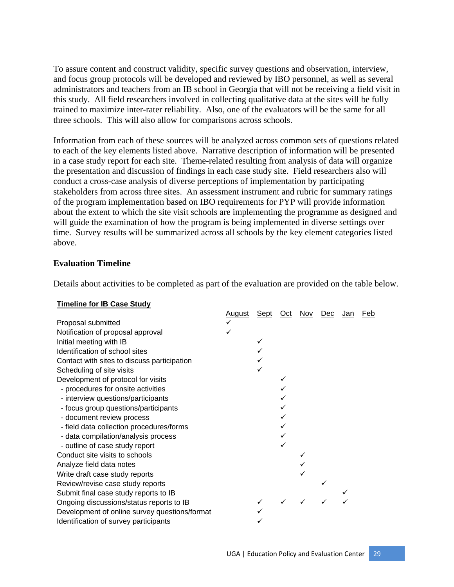To assure content and construct validity, specific survey questions and observation, interview, and focus group protocols will be developed and reviewed by IBO personnel, as well as several administrators and teachers from an IB school in Georgia that will not be receiving a field visit in this study. All field researchers involved in collecting qualitative data at the sites will be fully trained to maximize inter-rater reliability. Also, one of the evaluators will be the same for all three schools. This will also allow for comparisons across schools.

Information from each of these sources will be analyzed across common sets of questions related to each of the key elements listed above. Narrative description of information will be presented in a case study report for each site. Theme-related resulting from analysis of data will organize the presentation and discussion of findings in each case study site. Field researchers also will conduct a cross-case analysis of diverse perceptions of implementation by participating stakeholders from across three sites. An assessment instrument and rubric for summary ratings of the program implementation based on IBO requirements for PYP will provide information about the extent to which the site visit schools are implementing the programme as designed and will guide the examination of how the program is being implemented in diverse settings over time. Survey results will be summarized across all schools by the key element categories listed above.

#### **Evaluation Timeline**

Details about activities to be completed as part of the evaluation are provided on the table below.

#### **Timeline for IB Case Study**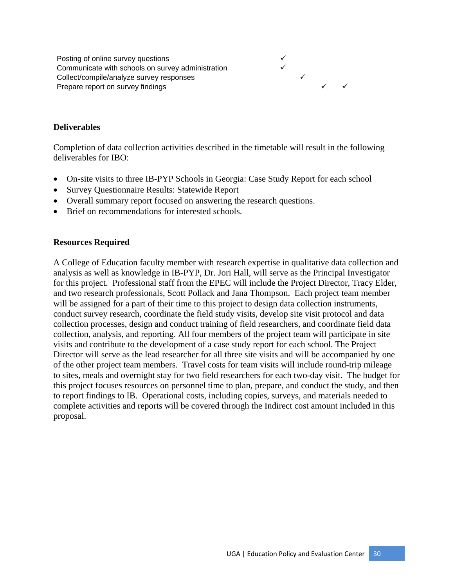Posting of online survey questions<br>
Communicate with schools on survey administration Communicate with schools on survey administration 9 Collect/compile/analyze survey responses Prepare report on survey findings



#### **Deliverables**

Completion of data collection activities described in the timetable will result in the following deliverables for IBO:

- On-site visits to three IB-PYP Schools in Georgia: Case Study Report for each school
- Survey Questionnaire Results: Statewide Report
- Overall summary report focused on answering the research questions.
- Brief on recommendations for interested schools.

#### **Resources Required**

A College of Education faculty member with research expertise in qualitative data collection and analysis as well as knowledge in IB-PYP, Dr. Jori Hall, will serve as the Principal Investigator for this project. Professional staff from the EPEC will include the Project Director, Tracy Elder, and two research professionals, Scott Pollack and Jana Thompson. Each project team member will be assigned for a part of their time to this project to design data collection instruments, conduct survey research, coordinate the field study visits, develop site visit protocol and data collection processes, design and conduct training of field researchers, and coordinate field data collection, analysis, and reporting. All four members of the project team will participate in site visits and contribute to the development of a case study report for each school. The Project Director will serve as the lead researcher for all three site visits and will be accompanied by one of the other project team members. Travel costs for team visits will include round-trip mileage to sites, meals and overnight stay for two field researchers for each two-day visit. The budget for this project focuses resources on personnel time to plan, prepare, and conduct the study, and then to report findings to IB. Operational costs, including copies, surveys, and materials needed to complete activities and reports will be covered through the Indirect cost amount included in this proposal.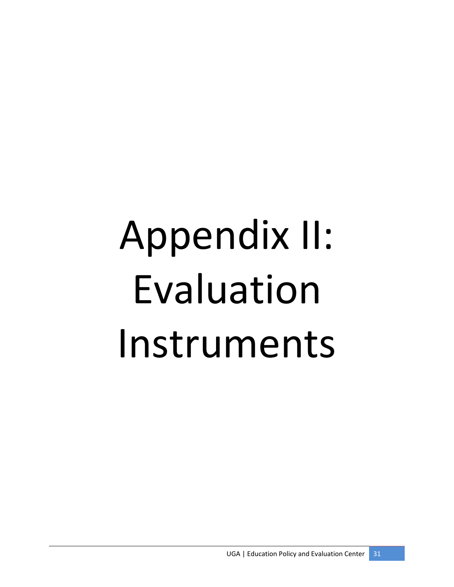# Appendix II: Evaluation Instruments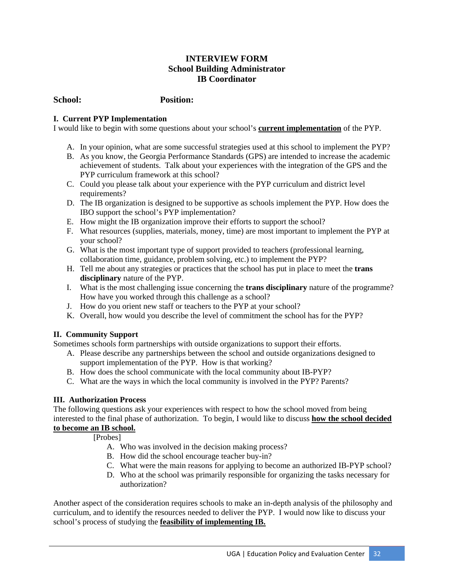#### **INTERVIEW FORM School Building Administrator IB Coordinator**

#### **School: Position:**

#### **I. Current PYP Implementation**

I would like to begin with some questions about your school's **current implementation** of the PYP.

- A. In your opinion, what are some successful strategies used at this school to implement the PYP?
- B. As you know, the Georgia Performance Standards (GPS) are intended to increase the academic achievement of students. Talk about your experiences with the integration of the GPS and the PYP curriculum framework at this school?
- C. Could you please talk about your experience with the PYP curriculum and district level requirements?
- D. The IB organization is designed to be supportive as schools implement the PYP. How does the IBO support the school's PYP implementation?
- E. How might the IB organization improve their efforts to support the school?
- F. What resources (supplies, materials, money, time) are most important to implement the PYP at your school?
- G. What is the most important type of support provided to teachers (professional learning, collaboration time, guidance, problem solving, etc.) to implement the PYP?
- H. Tell me about any strategies or practices that the school has put in place to meet the **trans disciplinary** nature of the PYP.
- I. What is the most challenging issue concerning the **trans disciplinary** nature of the programme? How have you worked through this challenge as a school?
- J. How do you orient new staff or teachers to the PYP at your school?
- K. Overall, how would you describe the level of commitment the school has for the PYP?

#### **II. Community Support**

Sometimes schools form partnerships with outside organizations to support their efforts.

- A. Please describe any partnerships between the school and outside organizations designed to support implementation of the PYP. How is that working?
- B. How does the school communicate with the local community about IB-PYP?
- C. What are the ways in which the local community is involved in the PYP? Parents?

#### **III. Authorization Process**

The following questions ask your experiences with respect to how the school moved from being interested to the final phase of authorization. To begin, I would like to discuss **how the school decided to become an IB school.** 

[Probes]

- A. Who was involved in the decision making process?
- B. How did the school encourage teacher buy-in?
- C. What were the main reasons for applying to become an authorized IB-PYP school?
- D. Who at the school was primarily responsible for organizing the tasks necessary for authorization?

Another aspect of the consideration requires schools to make an in-depth analysis of the philosophy and curriculum, and to identify the resources needed to deliver the PYP. I would now like to discuss your school's process of studying the **feasibility of implementing IB.**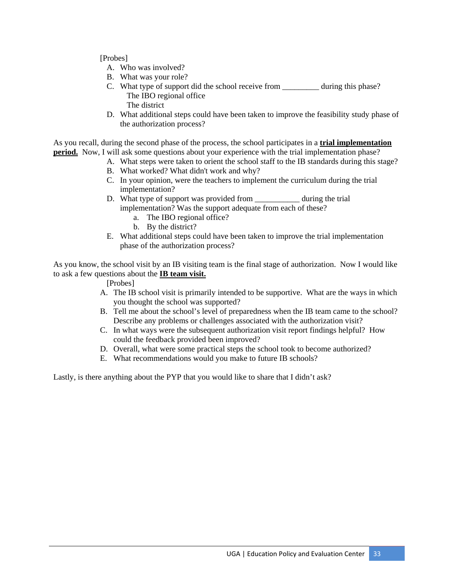#### [Probes]

- A. Who was involved?
- B. What was your role?
- C. What type of support did the school receive from during this phase? The IBO regional office The district
- D. What additional steps could have been taken to improve the feasibility study phase of the authorization process?

As you recall, during the second phase of the process, the school participates in a **trial implementation period.** Now, I will ask some questions about your experience with the trial implementation phase?

- A. What steps were taken to orient the school staff to the IB standards during this stage?
- B. What worked? What didn't work and why?
- C. In your opinion, were the teachers to implement the curriculum during the trial implementation?
- D. What type of support was provided from \_\_\_\_\_\_\_\_\_\_\_ during the trial implementation? Was the support adequate from each of these?
	- a. The IBO regional office?
	- b. By the district?
- E. What additional steps could have been taken to improve the trial implementation phase of the authorization process?

As you know, the school visit by an IB visiting team is the final stage of authorization. Now I would like to ask a few questions about the **IB team visit.**

[Probes]

- A. The IB school visit is primarily intended to be supportive. What are the ways in which you thought the school was supported?
- B. Tell me about the school's level of preparedness when the IB team came to the school? Describe any problems or challenges associated with the authorization visit?
- C. In what ways were the subsequent authorization visit report findings helpful? How could the feedback provided been improved?
- D. Overall, what were some practical steps the school took to become authorized?
- E. What recommendations would you make to future IB schools?

Lastly, is there anything about the PYP that you would like to share that I didn't ask?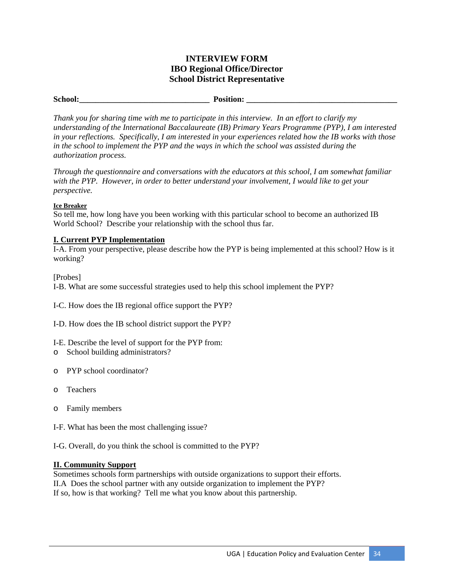#### **INTERVIEW FORM IBO Regional Office/Director School District Representative**

| <b>School:</b> |  |
|----------------|--|

**School:\_\_\_\_\_\_\_\_\_\_\_\_\_\_\_\_\_\_\_\_\_\_\_\_\_\_\_\_\_\_\_\_ Position: \_\_\_\_\_\_\_\_\_\_\_\_\_\_\_\_\_\_\_\_\_\_\_\_\_\_\_\_\_\_\_\_\_\_\_\_\_** 

*Thank you for sharing time with me to participate in this interview. In an effort to clarify my understanding of the International Baccalaureate (IB) Primary Years Programme (PYP), I am interested in your reflections. Specifically, I am interested in your experiences related how the IB works with those in the school to implement the PYP and the ways in which the school was assisted during the authorization process.* 

*Through the questionnaire and conversations with the educators at this school, I am somewhat familiar with the PYP. However, in order to better understand your involvement, I would like to get your perspective.* 

#### **Ice Breaker**

So tell me, how long have you been working with this particular school to become an authorized IB World School? Describe your relationship with the school thus far.

#### **I. Current PYP Implementation**

I-A. From your perspective, please describe how the PYP is being implemented at this school? How is it working?

[Probes]

I-B. What are some successful strategies used to help this school implement the PYP?

I-C. How does the IB regional office support the PYP?

I-D. How does the IB school district support the PYP?

#### I-E. Describe the level of support for the PYP from:

- o School building administrators?
- o PYP school coordinator?
- o Teachers
- o Family members
- I-F. What has been the most challenging issue?

I-G. Overall, do you think the school is committed to the PYP?

#### **II. Community Support**

Sometimes schools form partnerships with outside organizations to support their efforts. II.A Does the school partner with any outside organization to implement the PYP? If so, how is that working? Tell me what you know about this partnership.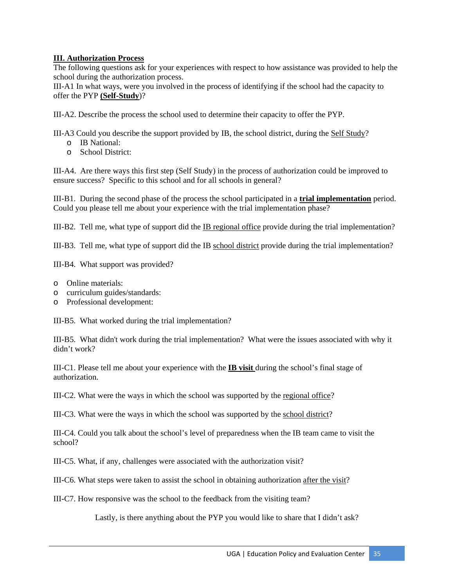#### **III. Authorization Process**

The following questions ask for your experiences with respect to how assistance was provided to help the school during the authorization process.

III-A1 In what ways, were you involved in the process of identifying if the school had the capacity to offer the PYP **(Self-Study**)?

III-A2. Describe the process the school used to determine their capacity to offer the PYP.

III-A3 Could you describe the support provided by IB, the school district, during the Self Study?

- o IB National:
- o School District:

III-A4. Are there ways this first step (Self Study) in the process of authorization could be improved to ensure success? Specific to this school and for all schools in general?

III-B1. During the second phase of the process the school participated in a **trial implementation** period. Could you please tell me about your experience with the trial implementation phase?

III-B2. Tell me, what type of support did the IB regional office provide during the trial implementation?

III-B3. Tell me, what type of support did the IB school district provide during the trial implementation?

III-B4. What support was provided?

- o Online materials:
- o curriculum guides/standards:
- o Professional development:

III-B5. What worked during the trial implementation?

III-B5. What didn't work during the trial implementation? What were the issues associated with why it didn't work?

III-C1. Please tell me about your experience with the **IB visit** during the school's final stage of authorization.

III-C2. What were the ways in which the school was supported by the regional office?

III-C3. What were the ways in which the school was supported by the school district?

III-C4. Could you talk about the school's level of preparedness when the IB team came to visit the school?

III-C5. What, if any, challenges were associated with the authorization visit?

III-C6. What steps were taken to assist the school in obtaining authorization after the visit?

III-C7. How responsive was the school to the feedback from the visiting team?

Lastly, is there anything about the PYP you would like to share that I didn't ask?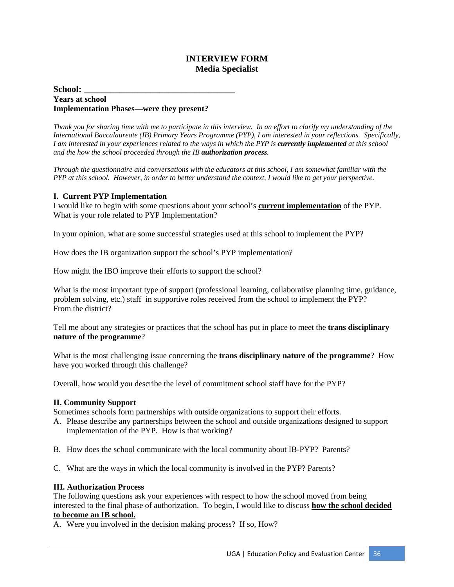#### **INTERVIEW FORM Media Specialist**

#### $School:$ **Years at school Implementation Phases—were they present?**

*Thank you for sharing time with me to participate in this interview. In an effort to clarify my understanding of the International Baccalaureate (IB) Primary Years Programme (PYP), I am interested in your reflections. Specifically, I am interested in your experiences related to the ways in which the PYP is <i>currently implemented* at this school *and the how the school proceeded through the IB authorization process.* 

*Through the questionnaire and conversations with the educators at this school, I am somewhat familiar with the PYP at this school. However, in order to better understand the context, I would like to get your perspective.* 

#### **I. Current PYP Implementation**

I would like to begin with some questions about your school's **current implementation** of the PYP. What is your role related to PYP Implementation?

In your opinion, what are some successful strategies used at this school to implement the PYP?

How does the IB organization support the school's PYP implementation?

How might the IBO improve their efforts to support the school?

What is the most important type of support (professional learning, collaborative planning time, guidance, problem solving, etc.) staff in supportive roles received from the school to implement the PYP? From the district?

Tell me about any strategies or practices that the school has put in place to meet the **trans disciplinary nature of the programme**?

What is the most challenging issue concerning the **trans disciplinary nature of the programme**? How have you worked through this challenge?

Overall, how would you describe the level of commitment school staff have for the PYP?

#### **II. Community Support**

Sometimes schools form partnerships with outside organizations to support their efforts.

- A. Please describe any partnerships between the school and outside organizations designed to support implementation of the PYP. How is that working?
- B. How does the school communicate with the local community about IB-PYP? Parents?
- C. What are the ways in which the local community is involved in the PYP? Parents?

#### **III. Authorization Process**

The following questions ask your experiences with respect to how the school moved from being interested to the final phase of authorization. To begin, I would like to discuss **how the school decided** 

#### **to become an IB school.**

A. Were you involved in the decision making process? If so, How?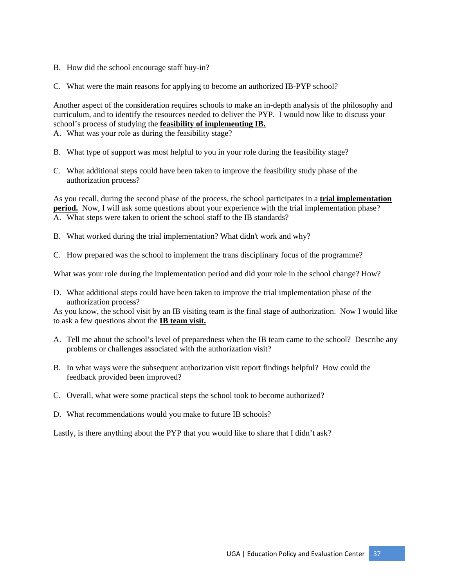- B. How did the school encourage staff buy-in?
- C. What were the main reasons for applying to become an authorized IB-PYP school?

Another aspect of the consideration requires schools to make an in-depth analysis of the philosophy and curriculum, and to identify the resources needed to deliver the PYP. I would now like to discuss your school's process of studying the **feasibility of implementing IB.**

- A. What was your role as during the feasibility stage?
- B. What type of support was most helpful to you in your role during the feasibility stage?
- C. What additional steps could have been taken to improve the feasibility study phase of the authorization process?

As you recall, during the second phase of the process, the school participates in a **trial implementation period.** Now, I will ask some questions about your experience with the trial implementation phase? A. What steps were taken to orient the school staff to the IB standards?

B. What worked during the trial implementation? What didn't work and why?

C. How prepared was the school to implement the trans disciplinary focus of the programme?

What was your role during the implementation period and did your role in the school change? How?

D. What additional steps could have been taken to improve the trial implementation phase of the authorization process?

As you know, the school visit by an IB visiting team is the final stage of authorization. Now I would like to ask a few questions about the **IB team visit.**

- A. Tell me about the school's level of preparedness when the IB team came to the school? Describe any problems or challenges associated with the authorization visit?
- B. In what ways were the subsequent authorization visit report findings helpful? How could the feedback provided been improved?
- C. Overall, what were some practical steps the school took to become authorized?
- D. What recommendations would you make to future IB schools?

Lastly, is there anything about the PYP that you would like to share that I didn't ask?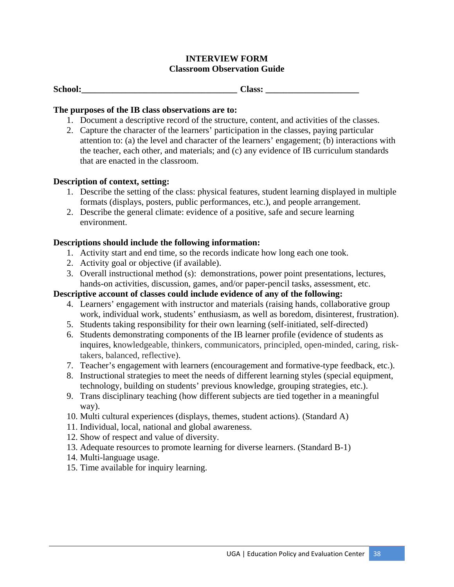#### **INTERVIEW FORM Classroom Observation Guide**

#### **The purposes of the IB class observations are to:**

- 1. Document a descriptive record of the structure, content, and activities of the classes.
- 2. Capture the character of the learners' participation in the classes, paying particular attention to: (a) the level and character of the learners' engagement; (b) interactions with the teacher, each other, and materials; and (c) any evidence of IB curriculum standards that are enacted in the classroom.

#### **Description of context, setting:**

- 1. Describe the setting of the class: physical features, student learning displayed in multiple formats (displays, posters, public performances, etc.), and people arrangement.
- 2. Describe the general climate: evidence of a positive, safe and secure learning environment.

#### **Descriptions should include the following information:**

- 1. Activity start and end time, so the records indicate how long each one took.
- 2. Activity goal or objective (if available).
- 3. Overall instructional method (s): demonstrations, power point presentations, lectures, hands-on activities, discussion, games, and/or paper-pencil tasks, assessment, etc.

#### **Descriptive account of classes could include evidence of any of the following:**

- 4. Learners' engagement with instructor and materials (raising hands, collaborative group work, individual work, students' enthusiasm, as well as boredom, disinterest, frustration).
- 5. Students taking responsibility for their own learning (self-initiated, self-directed)
- 6. Students demonstrating components of the IB learner profile (evidence of students as inquires, knowledgeable, thinkers, communicators, principled, open-minded, caring, risktakers, balanced, reflective).
- 7. Teacher's engagement with learners (encouragement and formative-type feedback, etc.).
- 8. Instructional strategies to meet the needs of different learning styles (special equipment, technology, building on students' previous knowledge, grouping strategies, etc.).
- 9. Trans disciplinary teaching (how different subjects are tied together in a meaningful way).
- 10. Multi cultural experiences (displays, themes, student actions). (Standard A)
- 11. Individual, local, national and global awareness.
- 12. Show of respect and value of diversity.
- 13. Adequate resources to promote learning for diverse learners. (Standard B-1)
- 14. Multi-language usage.
- 15. Time available for inquiry learning.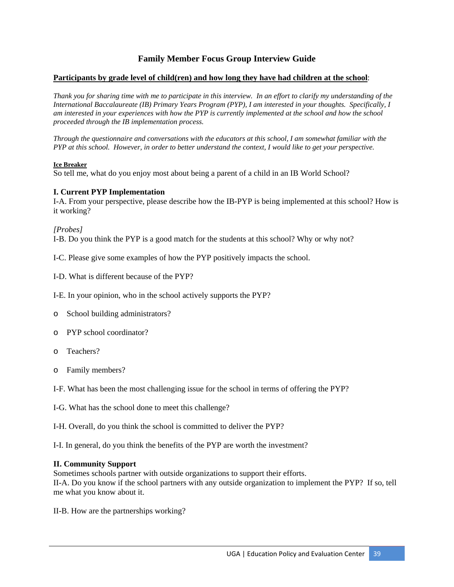### **Family Member Focus Group Interview Guide**

#### **Participants by grade level of child(ren) and how long they have had children at the school**:

*Thank you for sharing time with me to participate in this interview. In an effort to clarify my understanding of the International Baccalaureate (IB) Primary Years Program (PYP), I am interested in your thoughts. Specifically, I am interested in your experiences with how the PYP is currently implemented at the school and how the school proceeded through the IB implementation process.* 

*Through the questionnaire and conversations with the educators at this school, I am somewhat familiar with the PYP at this school. However, in order to better understand the context, I would like to get your perspective.* 

#### **Ice Breaker**

So tell me, what do you enjoy most about being a parent of a child in an IB World School?

#### **I. Current PYP Implementation**

I-A. From your perspective, please describe how the IB-PYP is being implemented at this school? How is it working?

#### *[Probes]*

I-B. Do you think the PYP is a good match for the students at this school? Why or why not?

I-C. Please give some examples of how the PYP positively impacts the school.

- I-D. What is different because of the PYP?
- I-E. In your opinion, who in the school actively supports the PYP?
- o School building administrators?
- o PYP school coordinator?
- o Teachers?
- o Family members?

I-F. What has been the most challenging issue for the school in terms of offering the PYP?

I-G. What has the school done to meet this challenge?

I-H. Overall, do you think the school is committed to deliver the PYP?

I-I. In general, do you think the benefits of the PYP are worth the investment?

#### **II. Community Support**

Sometimes schools partner with outside organizations to support their efforts. II-A. Do you know if the school partners with any outside organization to implement the PYP? If so, tell me what you know about it.

II-B. How are the partnerships working?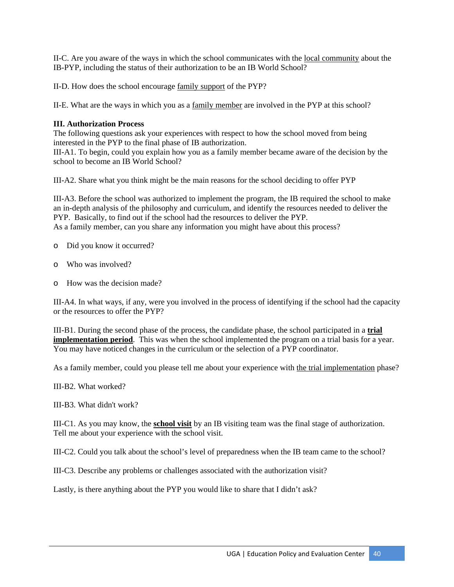II-C. Are you aware of the ways in which the school communicates with the local community about the IB-PYP, including the status of their authorization to be an IB World School?

II-D. How does the school encourage family support of the PYP?

II-E. What are the ways in which you as a family member are involved in the PYP at this school?

#### **III. Authorization Process**

The following questions ask your experiences with respect to how the school moved from being interested in the PYP to the final phase of IB authorization.

III-A1. To begin, could you explain how you as a family member became aware of the decision by the school to become an IB World School?

III-A2. Share what you think might be the main reasons for the school deciding to offer PYP

III-A3. Before the school was authorized to implement the program, the IB required the school to make an in-depth analysis of the philosophy and curriculum, and identify the resources needed to deliver the PYP. Basically, to find out if the school had the resources to deliver the PYP. As a family member, can you share any information you might have about this process?

- o Did you know it occurred?
- o Who was involved?
- o How was the decision made?

III-A4. In what ways, if any, were you involved in the process of identifying if the school had the capacity or the resources to offer the PYP?

III-B1. During the second phase of the process, the candidate phase, the school participated in a **trial implementation period**. This was when the school implemented the program on a trial basis for a year. You may have noticed changes in the curriculum or the selection of a PYP coordinator.

As a family member, could you please tell me about your experience with the trial implementation phase?

III-B2. What worked?

III-B3. What didn't work?

III-C1. As you may know, the **school visit** by an IB visiting team was the final stage of authorization. Tell me about your experience with the school visit.

III-C2. Could you talk about the school's level of preparedness when the IB team came to the school?

III-C3. Describe any problems or challenges associated with the authorization visit?

Lastly, is there anything about the PYP you would like to share that I didn't ask?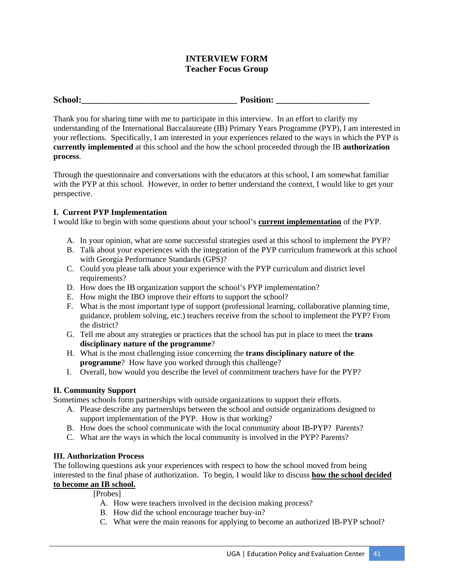#### **INTERVIEW FORM Teacher Focus Group**

| School:<br><b>Position:</b> |
|-----------------------------|
|-----------------------------|

Thank you for sharing time with me to participate in this interview. In an effort to clarify my understanding of the International Baccalaureate (IB) Primary Years Programme (PYP), I am interested in your reflections. Specifically, I am interested in your experiences related to the ways in which the PYP is **currently implemented** at this school and the how the school proceeded through the IB **authorization process**.

Through the questionnaire and conversations with the educators at this school, I am somewhat familiar with the PYP at this school. However, in order to better understand the context, I would like to get your perspective.

#### **I. Current PYP Implementation**

I would like to begin with some questions about your school's **current implementation** of the PYP.

- A. In your opinion, what are some successful strategies used at this school to implement the PYP?
- B. Talk about your experiences with the integration of the PYP curriculum framework at this school with Georgia Performance Standards (GPS)?
- C. Could you please talk about your experience with the PYP curriculum and district level requirements?
- D. How does the IB organization support the school's PYP implementation?
- E. How might the IBO improve their efforts to support the school?
- F. What is the most important type of support (professional learning, collaborative planning time, guidance, problem solving, etc.) teachers receive from the school to implement the PYP? From the district?
- G. Tell me about any strategies or practices that the school has put in place to meet the **trans disciplinary nature of the programme**?
- H. What is the most challenging issue concerning the **trans disciplinary nature of the programme**? How have you worked through this challenge?
- I. Overall, how would you describe the level of commitment teachers have for the PYP?

#### **II. Community Support**

Sometimes schools form partnerships with outside organizations to support their efforts.

- A. Please describe any partnerships between the school and outside organizations designed to support implementation of the PYP. How is that working?
- B. How does the school communicate with the local community about IB-PYP? Parents?
- C. What are the ways in which the local community is involved in the PYP? Parents?

#### **III. Authorization Process**

The following questions ask your experiences with respect to how the school moved from being interested to the final phase of authorization. To begin, I would like to discuss **how the school decided to become an IB school.** 

[Probes]

- A. How were teachers involved in the decision making process?
- B. How did the school encourage teacher buy-in?
- C. What were the main reasons for applying to become an authorized IB-PYP school?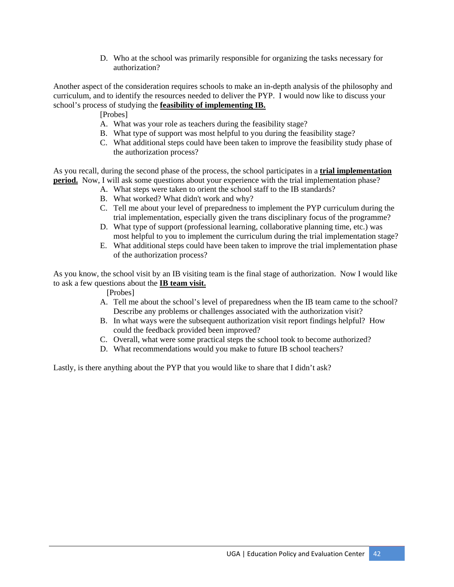D. Who at the school was primarily responsible for organizing the tasks necessary for authorization?

Another aspect of the consideration requires schools to make an in-depth analysis of the philosophy and curriculum, and to identify the resources needed to deliver the PYP. I would now like to discuss your school's process of studying the **feasibility of implementing IB.**

[Probes]

- A. What was your role as teachers during the feasibility stage?
- B. What type of support was most helpful to you during the feasibility stage?
- C. What additional steps could have been taken to improve the feasibility study phase of the authorization process?

As you recall, during the second phase of the process, the school participates in a **trial implementation period.** Now, I will ask some questions about your experience with the trial implementation phase?

- A. What steps were taken to orient the school staff to the IB standards?
- B. What worked? What didn't work and why?
- C. Tell me about your level of preparedness to implement the PYP curriculum during the trial implementation, especially given the trans disciplinary focus of the programme?
- D. What type of support (professional learning, collaborative planning time, etc.) was most helpful to you to implement the curriculum during the trial implementation stage?
- E. What additional steps could have been taken to improve the trial implementation phase of the authorization process?

As you know, the school visit by an IB visiting team is the final stage of authorization. Now I would like to ask a few questions about the **IB team visit.**

[Probes]

- A. Tell me about the school's level of preparedness when the IB team came to the school? Describe any problems or challenges associated with the authorization visit?
- B. In what ways were the subsequent authorization visit report findings helpful? How could the feedback provided been improved?
- C. Overall, what were some practical steps the school took to become authorized?
- D. What recommendations would you make to future IB school teachers?

Lastly, is there anything about the PYP that you would like to share that I didn't ask?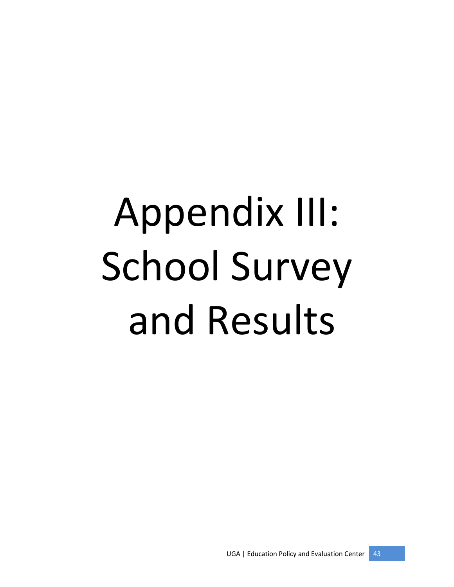# Appendix III: School Survey and Results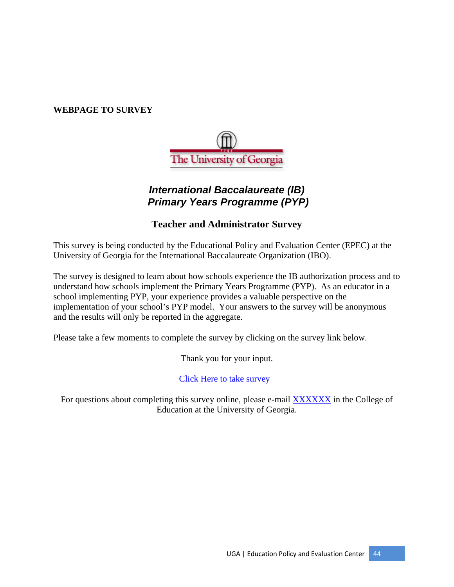### **WEBPAGE TO SURVEY**



# *International Baccalaureate (IB) Primary Years Programme (PYP)*

# **Teacher and Administrator Survey**

This survey is being conducted by the Educational Policy and Evaluation Center (EPEC) at the University of Georgia for the International Baccalaureate Organization (IBO).

The survey is designed to learn about how schools experience the IB authorization process and to understand how schools implement the Primary Years Programme (PYP). As an educator in a school implementing PYP, your experience provides a valuable perspective on the implementation of your school's PYP model. Your answers to the survey will be anonymous and the results will only be reported in the aggregate.

Please take a few moments to complete the survey by clicking on the survey link below.

Thank you for your input.

Click Here to take survey

For questions about completing this survey online, please e-mail **XXXXXX** in the College of Education at the University of Georgia.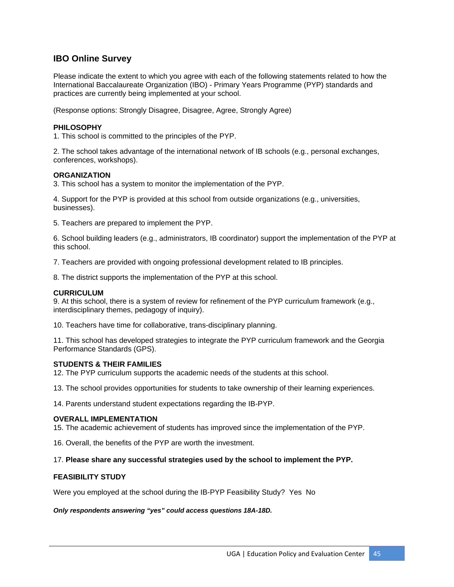### **IBO Online Survey**

Please indicate the extent to which you agree with each of the following statements related to how the International Baccalaureate Organization (IBO) - Primary Years Programme (PYP) standards and practices are currently being implemented at your school.

(Response options: Strongly Disagree, Disagree, Agree, Strongly Agree)

#### **PHILOSOPHY**

1. This school is committed to the principles of the PYP.

2. The school takes advantage of the international network of IB schools (e.g., personal exchanges, conferences, workshops).

#### **ORGANIZATION**

3. This school has a system to monitor the implementation of the PYP.

4. Support for the PYP is provided at this school from outside organizations (e.g., universities, businesses).

5. Teachers are prepared to implement the PYP.

6. School building leaders (e.g., administrators, IB coordinator) support the implementation of the PYP at this school.

7. Teachers are provided with ongoing professional development related to IB principles.

8. The district supports the implementation of the PYP at this school.

#### **CURRICULUM**

9. At this school, there is a system of review for refinement of the PYP curriculum framework (e.g., interdisciplinary themes, pedagogy of inquiry).

10. Teachers have time for collaborative, trans-disciplinary planning.

11. This school has developed strategies to integrate the PYP curriculum framework and the Georgia Performance Standards (GPS).

#### **STUDENTS & THEIR FAMILIES**

12. The PYP curriculum supports the academic needs of the students at this school.

13. The school provides opportunities for students to take ownership of their learning experiences.

14. Parents understand student expectations regarding the IB-PYP.

#### **OVERALL IMPLEMENTATION**

15. The academic achievement of students has improved since the implementation of the PYP.

16. Overall, the benefits of the PYP are worth the investment.

#### 17. **Please share any successful strategies used by the school to implement the PYP.**

#### **FEASIBILITY STUDY**

Were you employed at the school during the IB-PYP Feasibility Study? Yes No

#### *Only respondents answering "yes" could access questions 18A-18D.*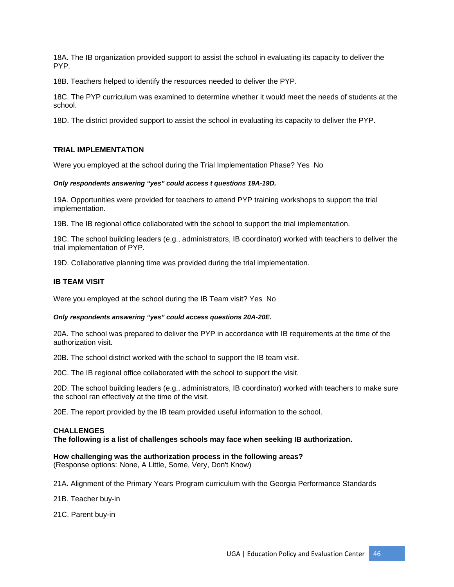18A. The IB organization provided support to assist the school in evaluating its capacity to deliver the PYP.

18B. Teachers helped to identify the resources needed to deliver the PYP.

18C. The PYP curriculum was examined to determine whether it would meet the needs of students at the school.

18D. The district provided support to assist the school in evaluating its capacity to deliver the PYP.

#### **TRIAL IMPLEMENTATION**

Were you employed at the school during the Trial Implementation Phase? Yes No

#### *Only respondents answering "yes" could access t questions 19A-19D.*

19A. Opportunities were provided for teachers to attend PYP training workshops to support the trial implementation.

19B. The IB regional office collaborated with the school to support the trial implementation.

19C. The school building leaders (e.g., administrators, IB coordinator) worked with teachers to deliver the trial implementation of PYP.

19D. Collaborative planning time was provided during the trial implementation.

#### **IB TEAM VISIT**

Were you employed at the school during the IB Team visit? Yes No

#### *Only respondents answering "yes" could access questions 20A-20E.*

20A. The school was prepared to deliver the PYP in accordance with IB requirements at the time of the authorization visit.

20B. The school district worked with the school to support the IB team visit.

20C. The IB regional office collaborated with the school to support the visit.

20D. The school building leaders (e.g., administrators, IB coordinator) worked with teachers to make sure the school ran effectively at the time of the visit.

20E. The report provided by the IB team provided useful information to the school.

#### **CHALLENGES**

**The following is a list of challenges schools may face when seeking IB authorization.** 

**How challenging was the authorization process in the following areas?** 

(Response options: None, A Little, Some, Very, Don't Know)

21A. Alignment of the Primary Years Program curriculum with the Georgia Performance Standards

21B. Teacher buy-in

21C. Parent buy-in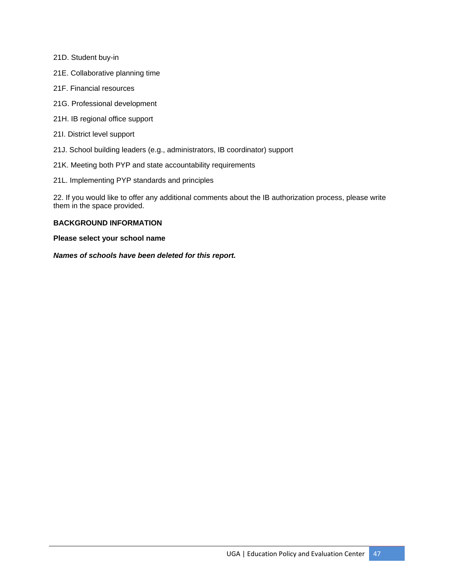21D. Student buy-in

- 21E. Collaborative planning time
- 21F. Financial resources
- 21G. Professional development
- 21H. IB regional office support
- 21I. District level support
- 21J. School building leaders (e.g., administrators, IB coordinator) support
- 21K. Meeting both PYP and state accountability requirements
- 21L. Implementing PYP standards and principles

22. If you would like to offer any additional comments about the IB authorization process, please write them in the space provided.

#### **BACKGROUND INFORMATION**

#### **Please select your school name**

*Names of schools have been deleted for this report.*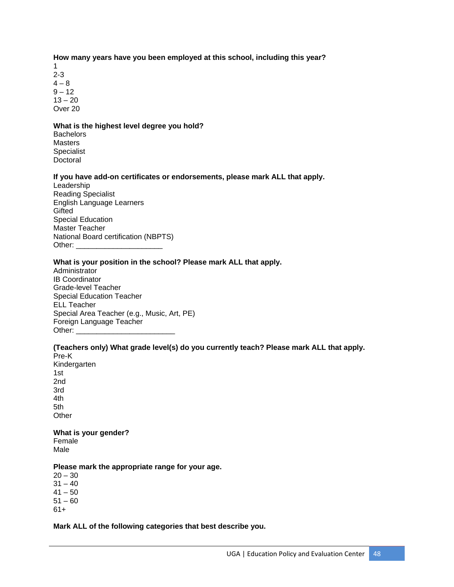**How many years have you been employed at this school, including this year?** 

#### **What is the highest level degree you hold?**

**Bachelors Masters** Specialist **Doctoral** 

#### **If you have add-on certificates or endorsements, please mark ALL that apply.**

Leadership Reading Specialist English Language Learners **Gifted** Special Education Master Teacher National Board certification (NBPTS) Other:

#### **What is your position in the school? Please mark ALL that apply.**

Administrator IB Coordinator Grade-level Teacher Special Education Teacher ELL Teacher Special Area Teacher (e.g., Music, Art, PE) Foreign Language Teacher Other:

## **(Teachers only) What grade level(s) do you currently teach? Please mark ALL that apply.**

Pre-K Kindergarten 1st 2nd 3rd 4th 5th **Other** 

**What is your gender?**  Female Male

#### **Please mark the appropriate range for your age.**

#### **Mark ALL of the following categories that best describe you.**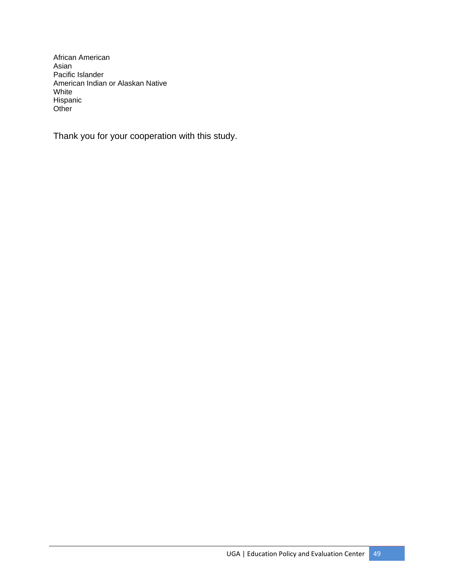African American Asian Pacific Islander American Indian or Alaskan Native White Hispanic Other

Thank you for your cooperation with this study.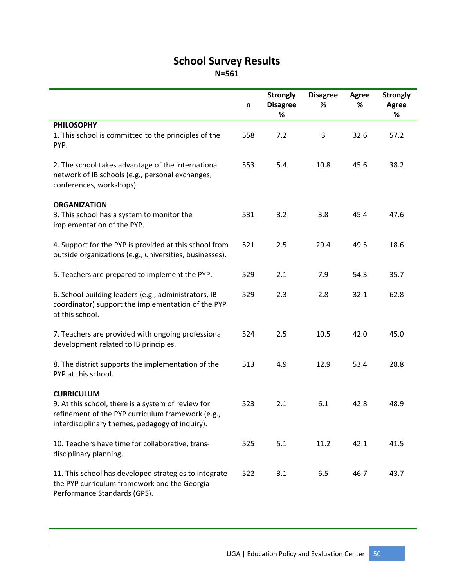# **School Survey Results N=561**

|                                                                                                                                                                                 | n   | <b>Strongly</b><br><b>Disagree</b><br>$\%$ | <b>Disagree</b><br>% | Agree<br>% | <b>Strongly</b><br><b>Agree</b><br>% |
|---------------------------------------------------------------------------------------------------------------------------------------------------------------------------------|-----|--------------------------------------------|----------------------|------------|--------------------------------------|
| <b>PHILOSOPHY</b><br>1. This school is committed to the principles of the<br>PYP.                                                                                               | 558 | 7.2                                        | 3                    | 32.6       | 57.2                                 |
| 2. The school takes advantage of the international<br>network of IB schools (e.g., personal exchanges,<br>conferences, workshops).                                              | 553 | 5.4                                        | 10.8                 | 45.6       | 38.2                                 |
| <b>ORGANIZATION</b><br>3. This school has a system to monitor the<br>implementation of the PYP.                                                                                 | 531 | 3.2                                        | 3.8                  | 45.4       | 47.6                                 |
| 4. Support for the PYP is provided at this school from<br>outside organizations (e.g., universities, businesses).                                                               | 521 | 2.5                                        | 29.4                 | 49.5       | 18.6                                 |
| 5. Teachers are prepared to implement the PYP.                                                                                                                                  | 529 | 2.1                                        | 7.9                  | 54.3       | 35.7                                 |
| 6. School building leaders (e.g., administrators, IB<br>coordinator) support the implementation of the PYP<br>at this school.                                                   | 529 | 2.3                                        | 2.8                  | 32.1       | 62.8                                 |
| 7. Teachers are provided with ongoing professional<br>development related to IB principles.                                                                                     | 524 | 2.5                                        | 10.5                 | 42.0       | 45.0                                 |
| 8. The district supports the implementation of the<br>PYP at this school.                                                                                                       | 513 | 4.9                                        | 12.9                 | 53.4       | 28.8                                 |
| <b>CURRICULUM</b><br>9. At this school, there is a system of review for<br>refinement of the PYP curriculum framework (e.g.,<br>interdisciplinary themes, pedagogy of inquiry). | 523 | 2.1                                        | 6.1                  | 42.8       | 48.9                                 |
| 10. Teachers have time for collaborative, trans-<br>disciplinary planning.                                                                                                      | 525 | 5.1                                        | 11.2                 | 42.1       | 41.5                                 |
| 11. This school has developed strategies to integrate<br>the PYP curriculum framework and the Georgia<br>Performance Standards (GPS).                                           | 522 | 3.1                                        | 6.5                  | 46.7       | 43.7                                 |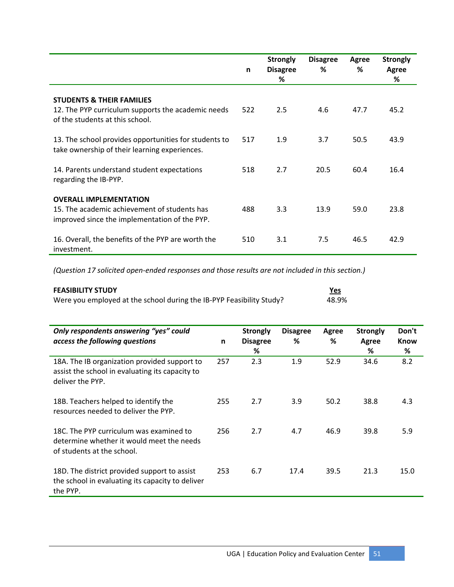|                                                                                                                                | n   | <b>Strongly</b><br><b>Disagree</b><br>% | <b>Disagree</b><br>℅ | Agree<br>℅ | <b>Strongly</b><br>Agree<br>% |
|--------------------------------------------------------------------------------------------------------------------------------|-----|-----------------------------------------|----------------------|------------|-------------------------------|
| <b>STUDENTS &amp; THEIR FAMILIES</b><br>12. The PYP curriculum supports the academic needs<br>of the students at this school.  | 522 | 2.5                                     | 4.6                  | 47.7       | 45.2                          |
| 13. The school provides opportunities for students to<br>take ownership of their learning experiences.                         | 517 | 1.9                                     | 3.7                  | 50.5       | 43.9                          |
| 14. Parents understand student expectations<br>regarding the IB-PYP.                                                           | 518 | 2.7                                     | 20.5                 | 60.4       | 16.4                          |
| <b>OVERALL IMPLEMENTATION</b><br>15. The academic achievement of students has<br>improved since the implementation of the PYP. | 488 | 3.3                                     | 13.9                 | 59.0       | 23.8                          |
| 16. Overall, the benefits of the PYP are worth the<br>investment.                                                              | 510 | 3.1                                     | 7.5                  | 46.5       | 42.9                          |

*(Question 17 solicited open‐ended responses and those results are not included in this section.)*

| <b>FEASIBILITY STUDY</b>                                             | Yes   |
|----------------------------------------------------------------------|-------|
| Were you employed at the school during the IB-PYP Feasibility Study? | 48.9% |

| Only respondents answering "yes" could<br>access the following questions                                            | n   | <b>Strongly</b><br><b>Disagree</b><br>% | <b>Disagree</b><br>℅ | Agree<br>℅ | <b>Strongly</b><br>Agree<br>℅ | Don't<br><b>Know</b><br>% |
|---------------------------------------------------------------------------------------------------------------------|-----|-----------------------------------------|----------------------|------------|-------------------------------|---------------------------|
| 18A. The IB organization provided support to<br>assist the school in evaluating its capacity to<br>deliver the PYP. | 257 | 2.3                                     | 1.9                  | 52.9       | 34.6                          | 8.2                       |
| 18B. Teachers helped to identify the<br>resources needed to deliver the PYP.                                        | 255 | 2.7                                     | 3.9                  | 50.2       | 38.8                          | 4.3                       |
| 18C. The PYP curriculum was examined to<br>determine whether it would meet the needs<br>of students at the school.  | 256 | 2.7                                     | 4.7                  | 46.9       | 39.8                          | 5.9                       |
| 18D. The district provided support to assist<br>the school in evaluating its capacity to deliver<br>the PYP.        | 253 | 6.7                                     | 17.4                 | 39.5       | 21.3                          | 15.0                      |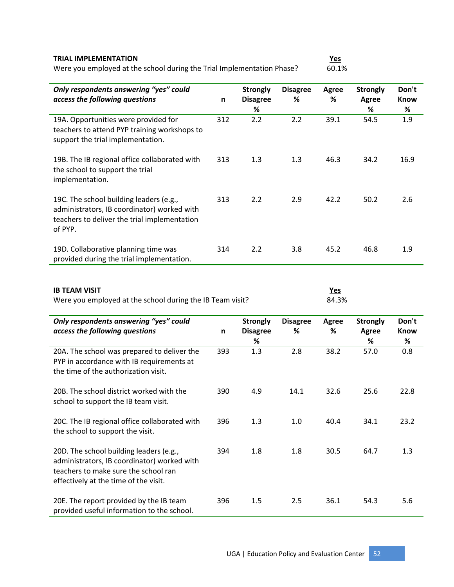| <b>TRIAL IMPLEMENTATION</b> | Yes |
|-----------------------------|-----|
|                             |     |

Were you employed at the school during the Trial Implementation Phase?  $\overline{60.1\%}$ 

| Only respondents answering "yes" could<br>access the following questions                                                                                                | n   | <b>Strongly</b><br><b>Disagree</b><br>% | <b>Disagree</b><br>% | <b>Agree</b><br>%   | <b>Strongly</b><br><b>Agree</b><br>% | Don't<br><b>Know</b><br>$\%$ |
|-------------------------------------------------------------------------------------------------------------------------------------------------------------------------|-----|-----------------------------------------|----------------------|---------------------|--------------------------------------|------------------------------|
| 19A. Opportunities were provided for<br>teachers to attend PYP training workshops to<br>support the trial implementation.                                               | 312 | 2.2                                     | 2.2                  | 39.1                | 54.5                                 | 1.9                          |
| 19B. The IB regional office collaborated with<br>the school to support the trial<br>implementation.                                                                     | 313 | 1.3                                     | 1.3                  | 46.3                | 34.2                                 | 16.9                         |
| 19C. The school building leaders (e.g.,<br>administrators, IB coordinator) worked with<br>teachers to deliver the trial implementation<br>of PYP.                       | 313 | 2.2                                     | 2.9                  | 42.2                | 50.2                                 | 2.6                          |
| 19D. Collaborative planning time was<br>provided during the trial implementation.                                                                                       | 314 | 2.2                                     | 3.8                  | 45.2                | 46.8                                 | 1.9                          |
|                                                                                                                                                                         |     |                                         |                      |                     |                                      |                              |
| <b>IB TEAM VISIT</b><br>Were you employed at the school during the IB Team visit?                                                                                       |     |                                         |                      | <b>Yes</b><br>84.3% |                                      |                              |
| Only respondents answering "yes" could<br>access the following questions                                                                                                | n   | <b>Strongly</b><br><b>Disagree</b><br>% | <b>Disagree</b><br>% | <b>Agree</b><br>%   | <b>Strongly</b><br><b>Agree</b><br>% | Don't<br><b>Know</b><br>%    |
| 20A. The school was prepared to deliver the<br>PYP in accordance with IB requirements at<br>the time of the authorization visit.                                        | 393 | 1.3                                     | 2.8                  | 38.2                | 57.0                                 | 0.8                          |
| 20B. The school district worked with the<br>school to support the IB team visit.                                                                                        | 390 | 4.9                                     | 14.1                 | 32.6                | 25.6                                 | 22.8                         |
| 20C. The IB regional office collaborated with<br>the school to support the visit.                                                                                       | 396 | 1.3                                     | 1.0                  | 40.4                | 34.1                                 | 23.2                         |
| 20D. The school building leaders (e.g.,<br>administrators, IB coordinator) worked with<br>teachers to make sure the school ran<br>effectively at the time of the visit. | 394 | 1.8                                     | 1.8                  | 30.5                | 64.7                                 | 1.3                          |
| 20E. The report provided by the IB team<br>provided useful information to the school.                                                                                   | 396 | 1.5                                     | 2.5                  | 36.1                | 54.3                                 | 5.6                          |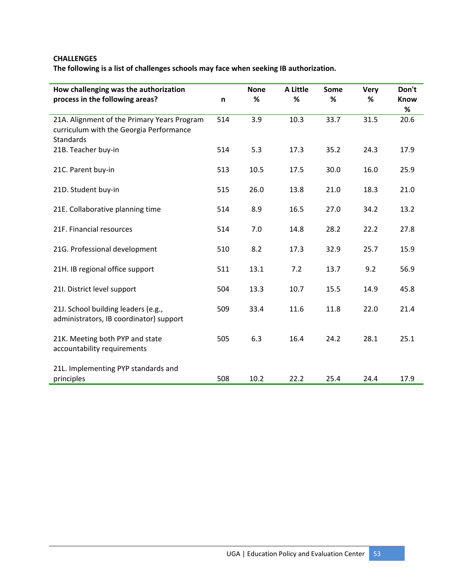#### **CHALLENGES**

**The following is a list of challenges schools may face when seeking IB authorization.** 

|     | <b>None</b> | A Little    | Some         | <b>Very</b>  | Don't        |
|-----|-------------|-------------|--------------|--------------|--------------|
| n   | $\%$        | %           | %            | %            | <b>Know</b>  |
|     |             |             |              |              | $\%$         |
| 514 |             |             |              |              | 20.6         |
| 514 | 5.3         | 17.3        | 35.2         | 24.3         | 17.9         |
| 513 | 10.5        | 17.5        | 30.0         | 16.0         | 25.9         |
| 515 | 26.0        | 13.8        | 21.0         | 18.3         | 21.0         |
| 514 | 8.9         | 16.5        | 27.0         | 34.2         | 13.2         |
| 514 | 7.0         | 14.8        | 28.2         | 22.2         | 27.8         |
| 510 | 8.2         | 17.3        | 32.9         | 25.7         | 15.9         |
| 511 | 13.1        | 7.2         | 13.7         | 9.2          | 56.9         |
| 504 | 13.3        | 10.7        | 15.5         | 14.9         | 45.8         |
| 509 | 33.4        | 11.6        | 11.8         | 22.0         | 21.4         |
| 505 | 6.3         | 16.4        | 24.2         | 28.1         | 25.1         |
|     |             |             |              |              | 17.9         |
|     | 508         | 3.9<br>10.2 | 10.3<br>22.2 | 33.7<br>25.4 | 31.5<br>24.4 |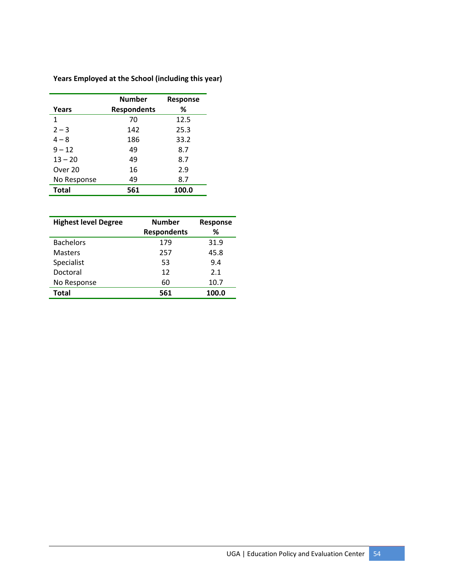|              | <b>Number</b>      | <b>Response</b> |
|--------------|--------------------|-----------------|
| Years        | <b>Respondents</b> | ℅               |
| 1            | 70                 | 12.5            |
| $2 - 3$      | 142                | 25.3            |
| $4 - 8$      | 186                | 33.2            |
| $9 - 12$     | 49                 | 8.7             |
| $13 - 20$    | 49                 | 8.7             |
| Over 20      | 16                 | 2.9             |
| No Response  | 49                 | 8.7             |
| <b>Total</b> | 561                | 100.0           |

**Years Employed at the School (including this year)**

| <b>Highest level Degree</b> | <b>Number</b>      | <b>Response</b> |
|-----------------------------|--------------------|-----------------|
|                             | <b>Respondents</b> | ℅               |
| <b>Bachelors</b>            | 179                | 31.9            |
| <b>Masters</b>              | 257                | 45.8            |
| Specialist                  | 53                 | 9.4             |
| Doctoral                    | 12                 | 2.1             |
| No Response                 | 60                 | 10.7            |
| <b>Total</b>                | 561                | 100.0           |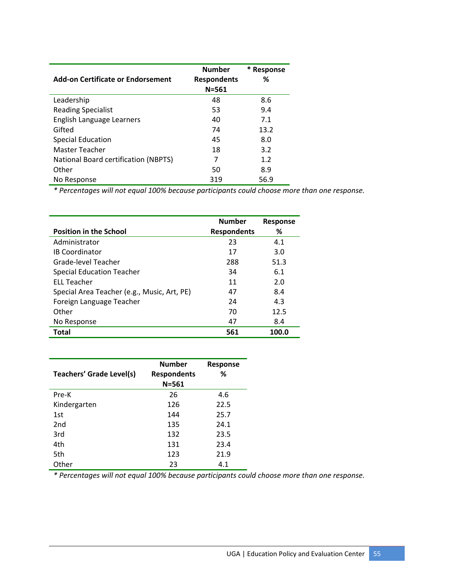| <b>Add-on Certificate or Endorsement</b> | <b>Number</b><br><b>Respondents</b><br>$N = 561$ | Response<br>% |
|------------------------------------------|--------------------------------------------------|---------------|
| Leadership                               | 48                                               | 8.6           |
| <b>Reading Specialist</b>                | 53                                               | 9.4           |
| English Language Learners                | 40                                               | 7.1           |
| Gifted                                   | 74                                               | 13.2          |
| <b>Special Education</b>                 | 45                                               | 8.0           |
| <b>Master Teacher</b>                    | 18                                               | 3.2           |
| National Board certification (NBPTS)     | 7                                                | 1.2           |
| Other                                    | 50                                               | 8.9           |
| No Response                              | 319                                              | 56.9          |

*\* Percentages will not equal 100% because participants could choose more than one response.*

|                                             | <b>Number</b>      | <b>Response</b> |
|---------------------------------------------|--------------------|-----------------|
| <b>Position in the School</b>               | <b>Respondents</b> | ℅               |
| Administrator                               | 23                 | 4.1             |
| <b>IB Coordinator</b>                       | 17                 | 3.0             |
| Grade-level Teacher                         | 288                | 51.3            |
| <b>Special Education Teacher</b>            | 34                 | 6.1             |
| <b>FLL Teacher</b>                          | 11                 | 2.0             |
| Special Area Teacher (e.g., Music, Art, PE) | 47                 | 8.4             |
| Foreign Language Teacher                    | 24                 | 4.3             |
| Other                                       | 70                 | 12.5            |
| No Response                                 | 47                 | 8.4             |
| Total                                       | 561                | 100.0           |

| <b>Teachers' Grade Level(s)</b> | <b>Number</b><br><b>Respondents</b><br>$N = 561$ | <b>Response</b><br>℅ |
|---------------------------------|--------------------------------------------------|----------------------|
| Pre-K                           | 26                                               | 4.6                  |
| Kindergarten                    | 126                                              | 22.5                 |
| 1st                             | 144                                              | 25.7                 |
| 2 <sub>nd</sub>                 | 135                                              | 24.1                 |
| 3rd                             | 132                                              | 23.5                 |
| 4th                             | 131                                              | 23.4                 |
| 5th                             | 123                                              | 21.9                 |
| Other                           | 23                                               | 4.1                  |

*\* Percentages will not equal 100% because participants could choose more than one response.*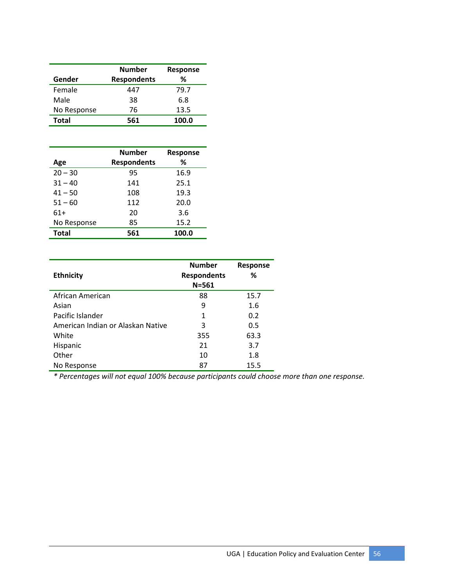|             | <b>Number</b>      | <b>Response</b> |  |  |
|-------------|--------------------|-----------------|--|--|
| Gender      | <b>Respondents</b> | ℅               |  |  |
| Female      | 447                | 79.7            |  |  |
| Male        | 38                 | 6.8             |  |  |
| No Response | 76                 | 13.5            |  |  |
| Total       | 561                | 100.0           |  |  |

|              | <b>Number</b>      | <b>Response</b> |
|--------------|--------------------|-----------------|
| Age          | <b>Respondents</b> | ℅               |
| $20 - 30$    | 95                 | 16.9            |
| $31 - 40$    | 141                | 25.1            |
| $41 - 50$    | 108                | 19.3            |
| $51 - 60$    | 112                | 20.0            |
| $61+$        | 20                 | 3.6             |
| No Response  | 85                 | 15.2            |
| <b>Total</b> | 561                | 100.0           |

| <b>Ethnicity</b>                  | <b>Number</b><br><b>Respondents</b><br>$N = 561$ | <b>Response</b><br>℅ |
|-----------------------------------|--------------------------------------------------|----------------------|
| African American                  | 88                                               | 15.7                 |
| Asian                             | 9                                                | 1.6                  |
| Pacific Islander                  | 1                                                | 0.2                  |
| American Indian or Alaskan Native | 3                                                | 0.5                  |
| White                             | 355                                              | 63.3                 |
| Hispanic                          | 21                                               | 3.7                  |
| Other                             | 10                                               | 1.8                  |
| No Response                       | 87                                               | 15.5                 |

*\* Percentages will not equal 100% because participants could choose more than one response.*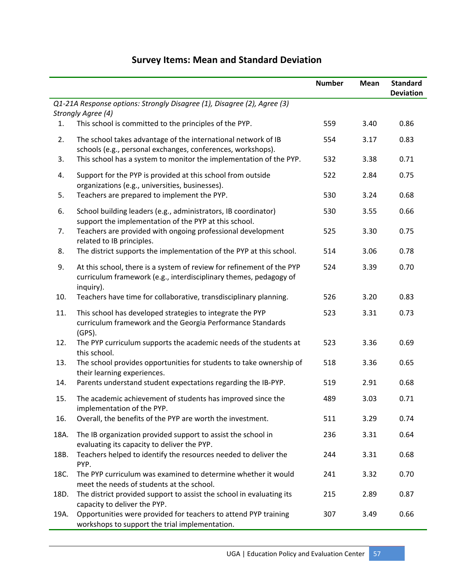|                                                                         |                                                                                                                                                         | <b>Number</b> | Mean | <b>Standard</b><br><b>Deviation</b> |  |  |
|-------------------------------------------------------------------------|---------------------------------------------------------------------------------------------------------------------------------------------------------|---------------|------|-------------------------------------|--|--|
| Q1-21A Response options: Strongly Disagree (1), Disagree (2), Agree (3) |                                                                                                                                                         |               |      |                                     |  |  |
|                                                                         | Strongly Agree (4)                                                                                                                                      |               |      |                                     |  |  |
| 1.                                                                      | This school is committed to the principles of the PYP.                                                                                                  | 559           | 3.40 | 0.86                                |  |  |
| 2.                                                                      | The school takes advantage of the international network of IB<br>schools (e.g., personal exchanges, conferences, workshops).                            | 554           | 3.17 | 0.83                                |  |  |
| 3.                                                                      | This school has a system to monitor the implementation of the PYP.                                                                                      | 532           | 3.38 | 0.71                                |  |  |
| 4.                                                                      | Support for the PYP is provided at this school from outside<br>organizations (e.g., universities, businesses).                                          | 522           | 2.84 | 0.75                                |  |  |
| 5.                                                                      | Teachers are prepared to implement the PYP.                                                                                                             | 530           | 3.24 | 0.68                                |  |  |
| 6.                                                                      | School building leaders (e.g., administrators, IB coordinator)<br>support the implementation of the PYP at this school.                                 | 530           | 3.55 | 0.66                                |  |  |
| 7.                                                                      | Teachers are provided with ongoing professional development<br>related to IB principles.                                                                | 525           | 3.30 | 0.75                                |  |  |
| 8.                                                                      | The district supports the implementation of the PYP at this school.                                                                                     | 514           | 3.06 | 0.78                                |  |  |
| 9.                                                                      | At this school, there is a system of review for refinement of the PYP<br>curriculum framework (e.g., interdisciplinary themes, pedagogy of<br>inquiry). | 524           | 3.39 | 0.70                                |  |  |
| 10.                                                                     | Teachers have time for collaborative, transdisciplinary planning.                                                                                       | 526           | 3.20 | 0.83                                |  |  |
| 11.                                                                     | This school has developed strategies to integrate the PYP<br>curriculum framework and the Georgia Performance Standards<br>$(GPS)$ .                    | 523           | 3.31 | 0.73                                |  |  |
| 12.                                                                     | The PYP curriculum supports the academic needs of the students at<br>this school.                                                                       | 523           | 3.36 | 0.69                                |  |  |
| 13.                                                                     | The school provides opportunities for students to take ownership of<br>their learning experiences.                                                      | 518           | 3.36 | 0.65                                |  |  |
| 14.                                                                     | Parents understand student expectations regarding the IB-PYP.                                                                                           | 519           | 2.91 | 0.68                                |  |  |
| 15.                                                                     | The academic achievement of students has improved since the<br>implementation of the PYP.                                                               | 489           | 3.03 | 0.71                                |  |  |
| 16.                                                                     | Overall, the benefits of the PYP are worth the investment.                                                                                              | 511           | 3.29 | 0.74                                |  |  |
| 18A.                                                                    | The IB organization provided support to assist the school in<br>evaluating its capacity to deliver the PYP.                                             | 236           | 3.31 | 0.64                                |  |  |
| 18B.                                                                    | Teachers helped to identify the resources needed to deliver the<br>PYP.                                                                                 | 244           | 3.31 | 0.68                                |  |  |
| 18C.                                                                    | The PYP curriculum was examined to determine whether it would<br>meet the needs of students at the school.                                              | 241           | 3.32 | 0.70                                |  |  |
| 18D.                                                                    | The district provided support to assist the school in evaluating its<br>capacity to deliver the PYP.                                                    | 215           | 2.89 | 0.87                                |  |  |
| 19A.                                                                    | Opportunities were provided for teachers to attend PYP training<br>workshops to support the trial implementation.                                       | 307           | 3.49 | 0.66                                |  |  |

# **Survey Items: Mean and Standard Deviation**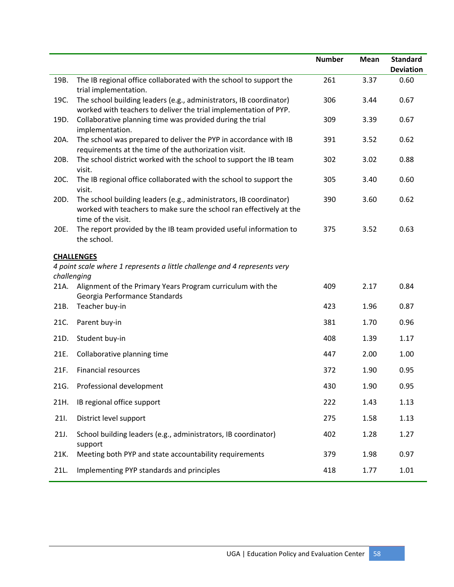|      |                                                                                                                                                                 | <b>Number</b> | Mean | <b>Standard</b><br><b>Deviation</b> |
|------|-----------------------------------------------------------------------------------------------------------------------------------------------------------------|---------------|------|-------------------------------------|
| 19B. | The IB regional office collaborated with the school to support the<br>trial implementation.                                                                     | 261           | 3.37 | 0.60                                |
| 19C. | The school building leaders (e.g., administrators, IB coordinator)<br>worked with teachers to deliver the trial implementation of PYP.                          | 306           | 3.44 | 0.67                                |
| 19D. | Collaborative planning time was provided during the trial<br>implementation.                                                                                    | 309           | 3.39 | 0.67                                |
| 20A. | The school was prepared to deliver the PYP in accordance with IB<br>requirements at the time of the authorization visit.                                        | 391           | 3.52 | 0.62                                |
| 20B. | The school district worked with the school to support the IB team<br>visit.                                                                                     | 302           | 3.02 | 0.88                                |
| 20C. | The IB regional office collaborated with the school to support the<br>visit.                                                                                    | 305           | 3.40 | 0.60                                |
| 20D. | The school building leaders (e.g., administrators, IB coordinator)<br>worked with teachers to make sure the school ran effectively at the<br>time of the visit. | 390           | 3.60 | 0.62                                |
| 20E. | The report provided by the IB team provided useful information to<br>the school.                                                                                | 375           | 3.52 | 0.63                                |
|      | <b>CHALLENGES</b>                                                                                                                                               |               |      |                                     |
|      | 4 point scale where 1 represents a little challenge and 4 represents very<br>challenging                                                                        |               |      |                                     |
| 21A. | Alignment of the Primary Years Program curriculum with the<br>Georgia Performance Standards                                                                     | 409           | 2.17 | 0.84                                |
| 21B. | Teacher buy-in                                                                                                                                                  | 423           | 1.96 | 0.87                                |
| 21C. | Parent buy-in                                                                                                                                                   | 381           | 1.70 | 0.96                                |
| 21D. | Student buy-in                                                                                                                                                  | 408           | 1.39 | 1.17                                |
| 21E. | Collaborative planning time                                                                                                                                     | 447           | 2.00 | 1.00                                |
| 21F. | <b>Financial resources</b>                                                                                                                                      | 372           | 1.90 | 0.95                                |
| 21G. | Professional development                                                                                                                                        | 430           | 1.90 | 0.95                                |
| 21H. | IB regional office support                                                                                                                                      | 222           | 1.43 | 1.13                                |
| 211. | District level support                                                                                                                                          | 275           | 1.58 | 1.13                                |
| 21J. | School building leaders (e.g., administrators, IB coordinator)<br>support                                                                                       | 402           | 1.28 | 1.27                                |
| 21K. | Meeting both PYP and state accountability requirements                                                                                                          | 379           | 1.98 | 0.97                                |
| 21L. | Implementing PYP standards and principles                                                                                                                       | 418           | 1.77 | 1.01                                |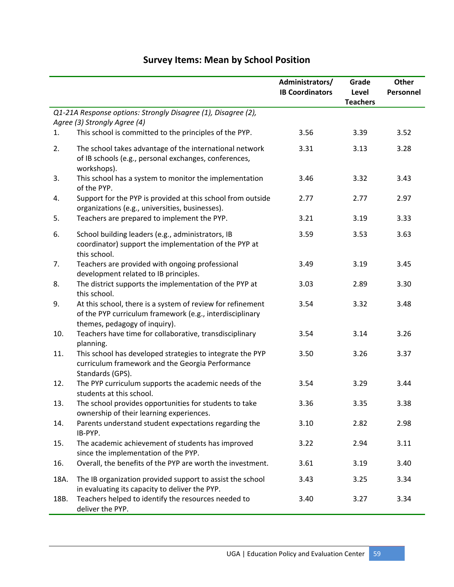|      |                                                                                                                                                         | Administrators/<br><b>IB Coordinators</b> | Grade<br>Level<br><b>Teachers</b> | <b>Other</b><br>Personnel |
|------|---------------------------------------------------------------------------------------------------------------------------------------------------------|-------------------------------------------|-----------------------------------|---------------------------|
|      | Q1-21A Response options: Strongly Disagree (1), Disagree (2),<br>Agree (3) Strongly Agree (4)                                                           |                                           |                                   |                           |
| 1.   | This school is committed to the principles of the PYP.                                                                                                  | 3.56                                      | 3.39                              | 3.52                      |
| 2.   | The school takes advantage of the international network<br>of IB schools (e.g., personal exchanges, conferences,<br>workshops).                         | 3.31                                      | 3.13                              | 3.28                      |
| 3.   | This school has a system to monitor the implementation<br>of the PYP.                                                                                   | 3.46                                      | 3.32                              | 3.43                      |
| 4.   | Support for the PYP is provided at this school from outside<br>organizations (e.g., universities, businesses).                                          | 2.77                                      | 2.77                              | 2.97                      |
| 5.   | Teachers are prepared to implement the PYP.                                                                                                             | 3.21                                      | 3.19                              | 3.33                      |
| 6.   | School building leaders (e.g., administrators, IB<br>coordinator) support the implementation of the PYP at<br>this school.                              | 3.59                                      | 3.53                              | 3.63                      |
| 7.   | Teachers are provided with ongoing professional<br>development related to IB principles.                                                                | 3.49                                      | 3.19                              | 3.45                      |
| 8.   | The district supports the implementation of the PYP at<br>this school.                                                                                  | 3.03                                      | 2.89                              | 3.30                      |
| 9.   | At this school, there is a system of review for refinement<br>of the PYP curriculum framework (e.g., interdisciplinary<br>themes, pedagogy of inquiry). | 3.54                                      | 3.32                              | 3.48                      |
| 10.  | Teachers have time for collaborative, transdisciplinary<br>planning.                                                                                    | 3.54                                      | 3.14                              | 3.26                      |
| 11.  | This school has developed strategies to integrate the PYP<br>curriculum framework and the Georgia Performance<br>Standards (GPS).                       | 3.50                                      | 3.26                              | 3.37                      |
| 12.  | The PYP curriculum supports the academic needs of the<br>students at this school.                                                                       | 3.54                                      | 3.29                              | 3.44                      |
| 13.  | The school provides opportunities for students to take<br>ownership of their learning experiences.                                                      | 3.36                                      | 3.35                              | 3.38                      |
| 14.  | Parents understand student expectations regarding the<br>IB-PYP.                                                                                        | 3.10                                      | 2.82                              | 2.98                      |
| 15.  | The academic achievement of students has improved<br>since the implementation of the PYP.                                                               | 3.22                                      | 2.94                              | 3.11                      |
| 16.  | Overall, the benefits of the PYP are worth the investment.                                                                                              | 3.61                                      | 3.19                              | 3.40                      |
| 18A. | The IB organization provided support to assist the school<br>in evaluating its capacity to deliver the PYP.                                             | 3.43                                      | 3.25                              | 3.34                      |
| 18B. | Teachers helped to identify the resources needed to<br>deliver the PYP.                                                                                 | 3.40                                      | 3.27                              | 3.34                      |

# **Survey Items: Mean by School Position**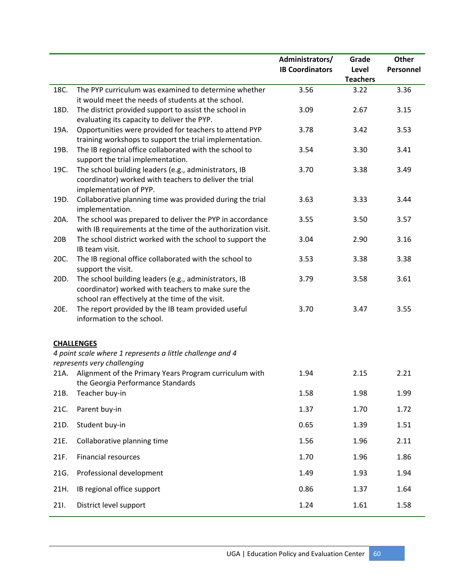|      |                                                                                                                                                                 | Administrators/<br><b>IB Coordinators</b> | Grade<br>Level  | Other<br>Personnel |
|------|-----------------------------------------------------------------------------------------------------------------------------------------------------------------|-------------------------------------------|-----------------|--------------------|
|      |                                                                                                                                                                 |                                           | <b>Teachers</b> |                    |
| 18C. | The PYP curriculum was examined to determine whether<br>it would meet the needs of students at the school.                                                      | 3.56                                      | 3.22            | 3.36               |
| 18D. | The district provided support to assist the school in<br>evaluating its capacity to deliver the PYP.                                                            | 3.09                                      | 2.67            | 3.15               |
| 19A. | Opportunities were provided for teachers to attend PYP<br>training workshops to support the trial implementation.                                               | 3.78                                      | 3.42            | 3.53               |
| 19B. | The IB regional office collaborated with the school to<br>support the trial implementation.                                                                     | 3.54                                      | 3.30            | 3.41               |
| 19C. | The school building leaders (e.g., administrators, IB<br>coordinator) worked with teachers to deliver the trial<br>implementation of PYP.                       | 3.70                                      | 3.38            | 3.49               |
| 19D. | Collaborative planning time was provided during the trial<br>implementation.                                                                                    | 3.63                                      | 3.33            | 3.44               |
| 20A. | The school was prepared to deliver the PYP in accordance<br>with IB requirements at the time of the authorization visit.                                        | 3.55                                      | 3.50            | 3.57               |
| 20B  | The school district worked with the school to support the<br>IB team visit.                                                                                     | 3.04                                      | 2.90            | 3.16               |
| 20C. | The IB regional office collaborated with the school to<br>support the visit.                                                                                    | 3.53                                      | 3.38            | 3.38               |
| 20D. | The school building leaders (e.g., administrators, IB<br>coordinator) worked with teachers to make sure the<br>school ran effectively at the time of the visit. | 3.79                                      | 3.58            | 3.61               |
| 20E. | The report provided by the IB team provided useful<br>information to the school.                                                                                | 3.70                                      | 3.47            | 3.55               |
|      | <b>CHALLENGES</b><br>4 point scale where 1 represents a little challenge and 4<br>represents very challenging                                                   |                                           |                 |                    |
| 21A. | Alignment of the Primary Years Program curriculum with<br>the Georgia Performance Standards                                                                     | 1.94                                      | 2.15            | 2.21               |
| 21B. | Teacher buy-in                                                                                                                                                  | 1.58                                      | 1.98            | 1.99               |
| 21C. | Parent buy-in                                                                                                                                                   | 1.37                                      | 1.70            | 1.72               |
| 21D. | Student buy-in                                                                                                                                                  | 0.65                                      | 1.39            | 1.51               |
| 21E. | Collaborative planning time                                                                                                                                     | 1.56                                      | 1.96            | 2.11               |
| 21F. | <b>Financial resources</b>                                                                                                                                      | 1.70                                      | 1.96            | 1.86               |
| 21G. | Professional development                                                                                                                                        | 1.49                                      | 1.93            | 1.94               |
| 21H. | IB regional office support                                                                                                                                      | 0.86                                      | 1.37            | 1.64               |
| 211. | District level support                                                                                                                                          | 1.24                                      | 1.61            | 1.58               |